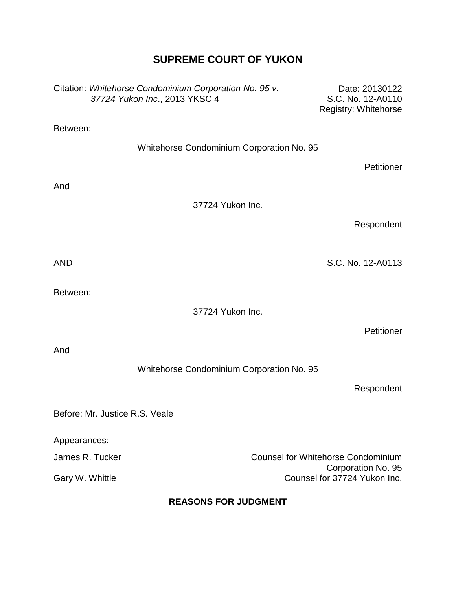## **SUPREME COURT OF YUKON**

|                             | Citation: Whitehorse Condominium Corporation No. 95 v.<br>37724 Yukon Inc., 2013 YKSC 4 | Date: 20130122<br>S.C. No. 12-A0110<br>Registry: Whitehorse |  |
|-----------------------------|-----------------------------------------------------------------------------------------|-------------------------------------------------------------|--|
| Between:                    |                                                                                         |                                                             |  |
|                             | Whitehorse Condominium Corporation No. 95                                               |                                                             |  |
|                             |                                                                                         | Petitioner                                                  |  |
| And                         |                                                                                         |                                                             |  |
|                             | 37724 Yukon Inc.                                                                        |                                                             |  |
|                             |                                                                                         | Respondent                                                  |  |
|                             |                                                                                         |                                                             |  |
| <b>AND</b>                  |                                                                                         | S.C. No. 12-A0113                                           |  |
| Between:                    |                                                                                         |                                                             |  |
|                             | 37724 Yukon Inc.                                                                        |                                                             |  |
|                             |                                                                                         | Petitioner                                                  |  |
| And                         |                                                                                         |                                                             |  |
|                             | Whitehorse Condominium Corporation No. 95                                               |                                                             |  |
|                             |                                                                                         | Respondent                                                  |  |
|                             | Before: Mr. Justice R.S. Veale                                                          |                                                             |  |
| Appearances:                |                                                                                         |                                                             |  |
|                             | James R. Tucker<br><b>Counsel for Whitehorse Condominium</b>                            |                                                             |  |
| Gary W. Whittle             |                                                                                         | Corporation No. 95<br>Counsel for 37724 Yukon Inc.          |  |
| <b>REASONS FOR JUDGMENT</b> |                                                                                         |                                                             |  |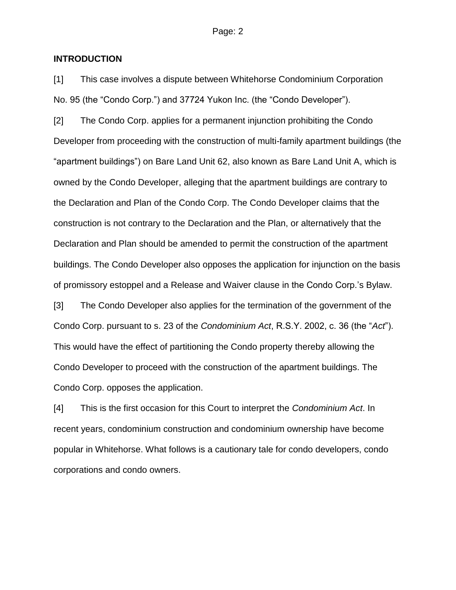#### **INTRODUCTION**

[1] This case involves a dispute between Whitehorse Condominium Corporation No. 95 (the "Condo Corp.") and 37724 Yukon Inc. (the "Condo Developer").

[2] The Condo Corp. applies for a permanent injunction prohibiting the Condo Developer from proceeding with the construction of multi-family apartment buildings (the "apartment buildings") on Bare Land Unit 62, also known as Bare Land Unit A, which is owned by the Condo Developer, alleging that the apartment buildings are contrary to the Declaration and Plan of the Condo Corp. The Condo Developer claims that the construction is not contrary to the Declaration and the Plan, or alternatively that the Declaration and Plan should be amended to permit the construction of the apartment buildings. The Condo Developer also opposes the application for injunction on the basis of promissory estoppel and a Release and Waiver clause in the Condo Corp.'s Bylaw.

[3] The Condo Developer also applies for the termination of the government of the Condo Corp. pursuant to s. 23 of the *Condominium Act*, R.S.Y. 2002, c. 36 (the "*Act*"). This would have the effect of partitioning the Condo property thereby allowing the Condo Developer to proceed with the construction of the apartment buildings. The Condo Corp. opposes the application.

[4] This is the first occasion for this Court to interpret the *Condominium Act*. In recent years, condominium construction and condominium ownership have become popular in Whitehorse. What follows is a cautionary tale for condo developers, condo corporations and condo owners.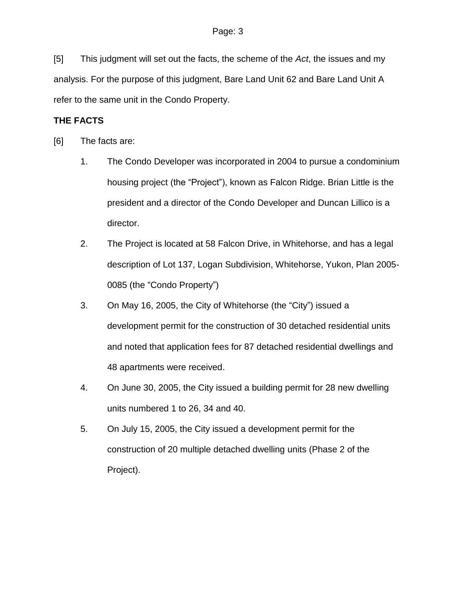[5] This judgment will set out the facts, the scheme of the *Act*, the issues and my analysis. For the purpose of this judgment, Bare Land Unit 62 and Bare Land Unit A refer to the same unit in the Condo Property.

## **THE FACTS**

- [6] The facts are:
	- 1. The Condo Developer was incorporated in 2004 to pursue a condominium housing project (the "Project"), known as Falcon Ridge. Brian Little is the president and a director of the Condo Developer and Duncan Lillico is a director.
	- 2. The Project is located at 58 Falcon Drive, in Whitehorse, and has a legal description of Lot 137, Logan Subdivision, Whitehorse, Yukon, Plan 2005- 0085 (the "Condo Property")
	- 3. On May 16, 2005, the City of Whitehorse (the "City") issued a development permit for the construction of 30 detached residential units and noted that application fees for 87 detached residential dwellings and 48 apartments were received.
	- 4. On June 30, 2005, the City issued a building permit for 28 new dwelling units numbered 1 to 26, 34 and 40.
	- 5. On July 15, 2005, the City issued a development permit for the construction of 20 multiple detached dwelling units (Phase 2 of the Project).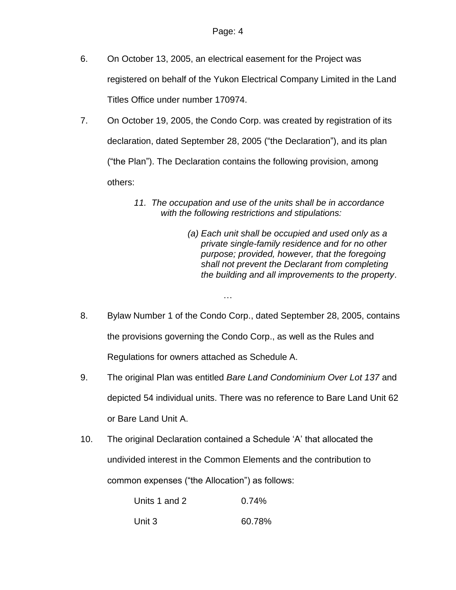- 6. On October 13, 2005, an electrical easement for the Project was registered on behalf of the Yukon Electrical Company Limited in the Land Titles Office under number 170974.
- 7. On October 19, 2005, the Condo Corp. was created by registration of its declaration, dated September 28, 2005 ("the Declaration"), and its plan ("the Plan"). The Declaration contains the following provision, among others:
	- *11. The occupation and use of the units shall be in accordance with the following restrictions and stipulations:*
		- *(a) Each unit shall be occupied and used only as a private single-family residence and for no other purpose; provided, however, that the foregoing shall not prevent the Declarant from completing the building and all improvements to the property*.
- 8. Bylaw Number 1 of the Condo Corp., dated September 28, 2005, contains the provisions governing the Condo Corp., as well as the Rules and Regulations for owners attached as Schedule A.

…

- 9. The original Plan was entitled *Bare Land Condominium Over Lot 137* and depicted 54 individual units. There was no reference to Bare Land Unit 62 or Bare Land Unit A.
- 10. The original Declaration contained a Schedule 'A' that allocated the undivided interest in the Common Elements and the contribution to common expenses ("the Allocation") as follows:

| Units 1 and 2 | 0.74%  |
|---------------|--------|
| Unit 3        | 60.78% |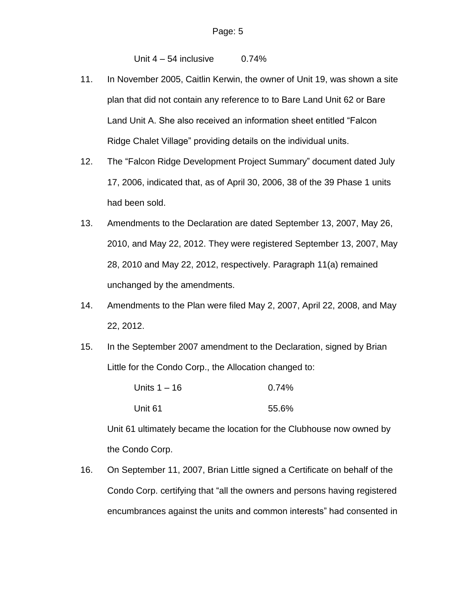Unit  $4 - 54$  inclusive 0.74%

- 11. In November 2005, Caitlin Kerwin, the owner of Unit 19, was shown a site plan that did not contain any reference to to Bare Land Unit 62 or Bare Land Unit A. She also received an information sheet entitled "Falcon Ridge Chalet Village" providing details on the individual units.
- 12. The "Falcon Ridge Development Project Summary" document dated July 17, 2006, indicated that, as of April 30, 2006, 38 of the 39 Phase 1 units had been sold.
- 13. Amendments to the Declaration are dated September 13, 2007, May 26, 2010, and May 22, 2012. They were registered September 13, 2007, May 28, 2010 and May 22, 2012, respectively. Paragraph 11(a) remained unchanged by the amendments.
- 14. Amendments to the Plan were filed May 2, 2007, April 22, 2008, and May 22, 2012.
- 15. In the September 2007 amendment to the Declaration, signed by Brian Little for the Condo Corp., the Allocation changed to:

| Units 1 – 16 | 0.74% |
|--------------|-------|
| Unit 61      | 55.6% |

Unit 61 ultimately became the location for the Clubhouse now owned by the Condo Corp.

16. On September 11, 2007, Brian Little signed a Certificate on behalf of the Condo Corp. certifying that "all the owners and persons having registered encumbrances against the units and common interests" had consented in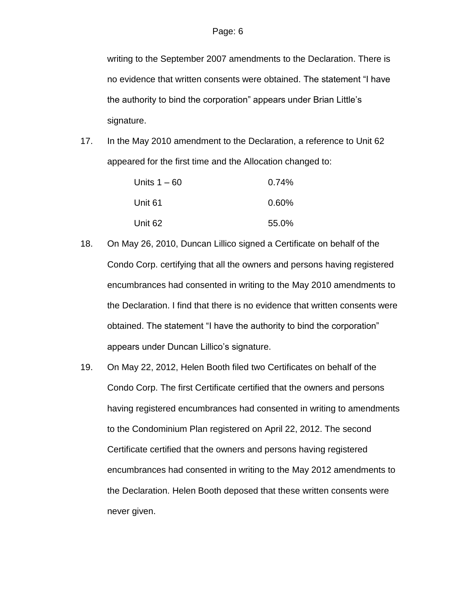writing to the September 2007 amendments to the Declaration. There is no evidence that written consents were obtained. The statement "I have the authority to bind the corporation" appears under Brian Little's signature.

17. In the May 2010 amendment to the Declaration, a reference to Unit 62 appeared for the first time and the Allocation changed to:

| Units $1 - 60$ | 0.74%    |
|----------------|----------|
| Unit 61        | $0.60\%$ |
| Unit 62        | 55.0%    |

- 18. On May 26, 2010, Duncan Lillico signed a Certificate on behalf of the Condo Corp. certifying that all the owners and persons having registered encumbrances had consented in writing to the May 2010 amendments to the Declaration. I find that there is no evidence that written consents were obtained. The statement "I have the authority to bind the corporation" appears under Duncan Lillico's signature.
- 19. On May 22, 2012, Helen Booth filed two Certificates on behalf of the Condo Corp. The first Certificate certified that the owners and persons having registered encumbrances had consented in writing to amendments to the Condominium Plan registered on April 22, 2012. The second Certificate certified that the owners and persons having registered encumbrances had consented in writing to the May 2012 amendments to the Declaration. Helen Booth deposed that these written consents were never given.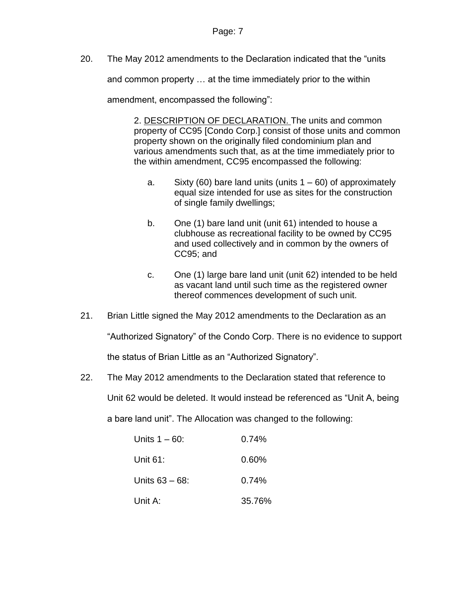20. The May 2012 amendments to the Declaration indicated that the "units

and common property … at the time immediately prior to the within

amendment, encompassed the following":

2. DESCRIPTION OF DECLARATION. The units and common property of CC95 [Condo Corp.] consist of those units and common property shown on the originally filed condominium plan and various amendments such that, as at the time immediately prior to the within amendment, CC95 encompassed the following:

- a. Sixty (60) bare land units (units  $1 60$ ) of approximately equal size intended for use as sites for the construction of single family dwellings;
- b. One (1) bare land unit (unit 61) intended to house a clubhouse as recreational facility to be owned by CC95 and used collectively and in common by the owners of CC95; and
- c. One (1) large bare land unit (unit 62) intended to be held as vacant land until such time as the registered owner thereof commences development of such unit.
- 21. Brian Little signed the May 2012 amendments to the Declaration as an

"Authorized Signatory" of the Condo Corp. There is no evidence to support

the status of Brian Little as an "Authorized Signatory".

22. The May 2012 amendments to the Declaration stated that reference to

Unit 62 would be deleted. It would instead be referenced as "Unit A, being

a bare land unit". The Allocation was changed to the following:

| Units $1 - 60$ :  | 0.74%    |
|-------------------|----------|
| Unit $61$ :       | 0.60%    |
| Units $63 - 68$ : | $0.74\%$ |
| Unit A:           | 35.76%   |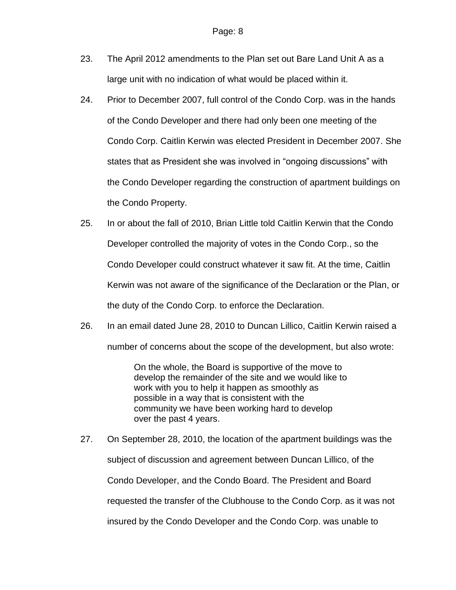- 23. The April 2012 amendments to the Plan set out Bare Land Unit A as a large unit with no indication of what would be placed within it.
- 24. Prior to December 2007, full control of the Condo Corp. was in the hands of the Condo Developer and there had only been one meeting of the Condo Corp. Caitlin Kerwin was elected President in December 2007. She states that as President she was involved in "ongoing discussions" with the Condo Developer regarding the construction of apartment buildings on the Condo Property.
- 25. In or about the fall of 2010, Brian Little told Caitlin Kerwin that the Condo Developer controlled the majority of votes in the Condo Corp., so the Condo Developer could construct whatever it saw fit. At the time, Caitlin Kerwin was not aware of the significance of the Declaration or the Plan, or the duty of the Condo Corp. to enforce the Declaration.
- 26. In an email dated June 28, 2010 to Duncan Lillico, Caitlin Kerwin raised a number of concerns about the scope of the development, but also wrote:

On the whole, the Board is supportive of the move to develop the remainder of the site and we would like to work with you to help it happen as smoothly as possible in a way that is consistent with the community we have been working hard to develop over the past 4 years.

27. On September 28, 2010, the location of the apartment buildings was the subject of discussion and agreement between Duncan Lillico, of the Condo Developer, and the Condo Board. The President and Board requested the transfer of the Clubhouse to the Condo Corp. as it was not insured by the Condo Developer and the Condo Corp. was unable to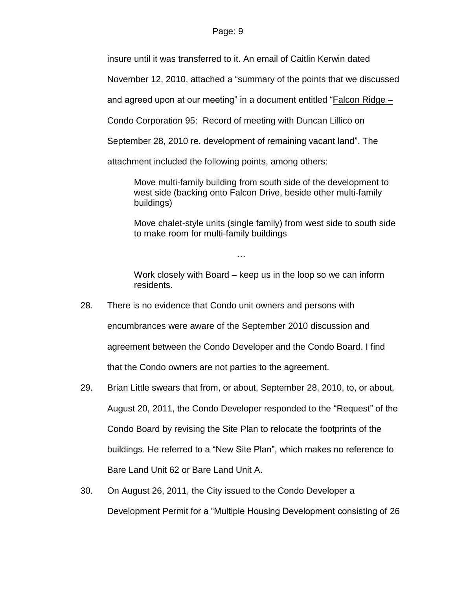#### Page: 9

insure until it was transferred to it. An email of Caitlin Kerwin dated

November 12, 2010, attached a "summary of the points that we discussed

and agreed upon at our meeting" in a document entitled "Falcon Ridge –

Condo Corporation 95: Record of meeting with Duncan Lillico on

September 28, 2010 re. development of remaining vacant land". The

attachment included the following points, among others:

Move multi-family building from south side of the development to west side (backing onto Falcon Drive, beside other multi-family buildings)

Move chalet-style units (single family) from west side to south side to make room for multi-family buildings

Work closely with Board – keep us in the loop so we can inform residents.

28. There is no evidence that Condo unit owners and persons with encumbrances were aware of the September 2010 discussion and agreement between the Condo Developer and the Condo Board. I find that the Condo owners are not parties to the agreement.

…

- 29. Brian Little swears that from, or about, September 28, 2010, to, or about, August 20, 2011, the Condo Developer responded to the "Request" of the Condo Board by revising the Site Plan to relocate the footprints of the buildings. He referred to a "New Site Plan", which makes no reference to Bare Land Unit 62 or Bare Land Unit A.
- 30. On August 26, 2011, the City issued to the Condo Developer a Development Permit for a "Multiple Housing Development consisting of 26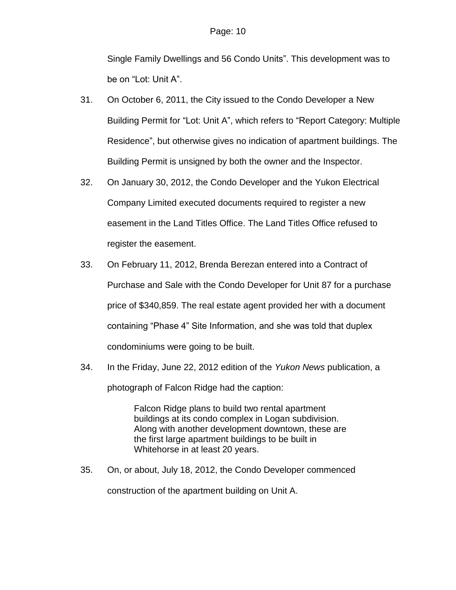Single Family Dwellings and 56 Condo Units". This development was to be on "Lot: Unit A".

- 31. On October 6, 2011, the City issued to the Condo Developer a New Building Permit for "Lot: Unit A", which refers to "Report Category: Multiple Residence", but otherwise gives no indication of apartment buildings. The Building Permit is unsigned by both the owner and the Inspector.
- 32. On January 30, 2012, the Condo Developer and the Yukon Electrical Company Limited executed documents required to register a new easement in the Land Titles Office. The Land Titles Office refused to register the easement.
- 33. On February 11, 2012, Brenda Berezan entered into a Contract of Purchase and Sale with the Condo Developer for Unit 87 for a purchase price of \$340,859. The real estate agent provided her with a document containing "Phase 4" Site Information, and she was told that duplex condominiums were going to be built.
- 34. In the Friday, June 22, 2012 edition of the *Yukon News* publication, a photograph of Falcon Ridge had the caption:

Falcon Ridge plans to build two rental apartment buildings at its condo complex in Logan subdivision. Along with another development downtown, these are the first large apartment buildings to be built in Whitehorse in at least 20 years.

35. On, or about, July 18, 2012, the Condo Developer commenced construction of the apartment building on Unit A.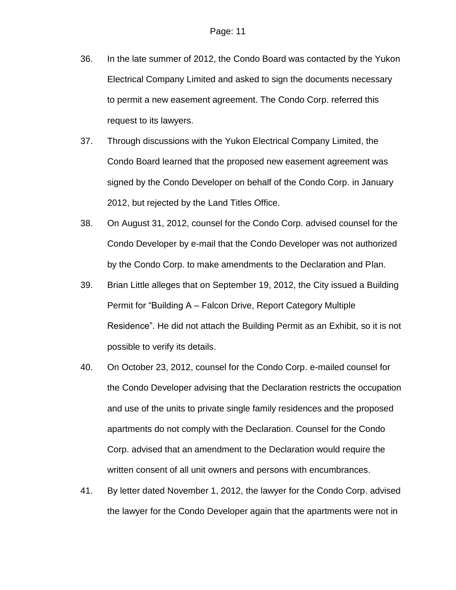- 36. In the late summer of 2012, the Condo Board was contacted by the Yukon Electrical Company Limited and asked to sign the documents necessary to permit a new easement agreement. The Condo Corp. referred this request to its lawyers.
- 37. Through discussions with the Yukon Electrical Company Limited, the Condo Board learned that the proposed new easement agreement was signed by the Condo Developer on behalf of the Condo Corp. in January 2012, but rejected by the Land Titles Office.
- 38. On August 31, 2012, counsel for the Condo Corp. advised counsel for the Condo Developer by e-mail that the Condo Developer was not authorized by the Condo Corp. to make amendments to the Declaration and Plan.
- 39. Brian Little alleges that on September 19, 2012, the City issued a Building Permit for "Building A – Falcon Drive, Report Category Multiple Residence". He did not attach the Building Permit as an Exhibit, so it is not possible to verify its details.
- 40. On October 23, 2012, counsel for the Condo Corp. e-mailed counsel for the Condo Developer advising that the Declaration restricts the occupation and use of the units to private single family residences and the proposed apartments do not comply with the Declaration. Counsel for the Condo Corp. advised that an amendment to the Declaration would require the written consent of all unit owners and persons with encumbrances.
- 41. By letter dated November 1, 2012, the lawyer for the Condo Corp. advised the lawyer for the Condo Developer again that the apartments were not in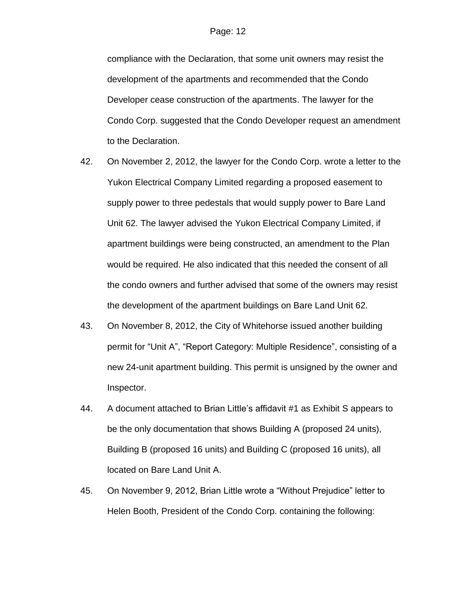compliance with the Declaration, that some unit owners may resist the development of the apartments and recommended that the Condo Developer cease construction of the apartments. The lawyer for the Condo Corp. suggested that the Condo Developer request an amendment to the Declaration.

- 42. On November 2, 2012, the lawyer for the Condo Corp. wrote a letter to the Yukon Electrical Company Limited regarding a proposed easement to supply power to three pedestals that would supply power to Bare Land Unit 62. The lawyer advised the Yukon Electrical Company Limited, if apartment buildings were being constructed, an amendment to the Plan would be required. He also indicated that this needed the consent of all the condo owners and further advised that some of the owners may resist the development of the apartment buildings on Bare Land Unit 62.
- 43. On November 8, 2012, the City of Whitehorse issued another building permit for "Unit A", "Report Category: Multiple Residence", consisting of a new 24-unit apartment building. This permit is unsigned by the owner and Inspector.
- 44. A document attached to Brian Little's affidavit #1 as Exhibit S appears to be the only documentation that shows Building A (proposed 24 units), Building B (proposed 16 units) and Building C (proposed 16 units), all located on Bare Land Unit A.
- 45. On November 9, 2012, Brian Little wrote a "Without Prejudice" letter to Helen Booth, President of the Condo Corp. containing the following: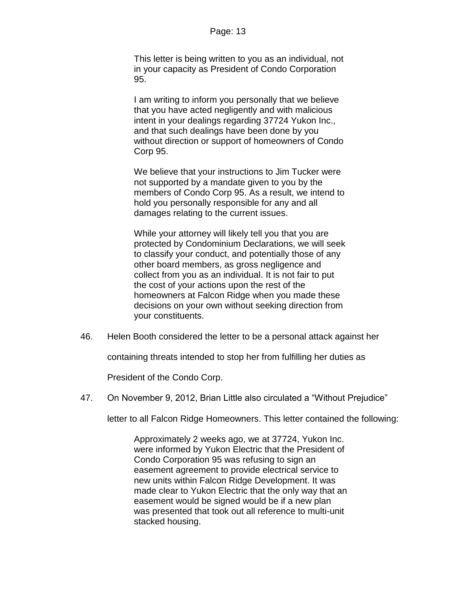This letter is being written to you as an individual, not in your capacity as President of Condo Corporation 95.

I am writing to inform you personally that we believe that you have acted negligently and with malicious intent in your dealings regarding 37724 Yukon Inc., and that such dealings have been done by you without direction or support of homeowners of Condo Corp 95.

We believe that your instructions to Jim Tucker were not supported by a mandate given to you by the members of Condo Corp 95. As a result, we intend to hold you personally responsible for any and all damages relating to the current issues.

While your attorney will likely tell you that you are protected by Condominium Declarations, we will seek to classify your conduct, and potentially those of any other board members, as gross negligence and collect from you as an individual. It is not fair to put the cost of your actions upon the rest of the homeowners at Falcon Ridge when you made these decisions on your own without seeking direction from your constituents.

46. Helen Booth considered the letter to be a personal attack against her

containing threats intended to stop her from fulfilling her duties as

President of the Condo Corp.

47. On November 9, 2012, Brian Little also circulated a "Without Prejudice"

letter to all Falcon Ridge Homeowners. This letter contained the following:

Approximately 2 weeks ago, we at 37724, Yukon Inc. were informed by Yukon Electric that the President of Condo Corporation 95 was refusing to sign an easement agreement to provide electrical service to new units within Falcon Ridge Development. It was made clear to Yukon Electric that the only way that an easement would be signed would be if a new plan was presented that took out all reference to multi-unit stacked housing.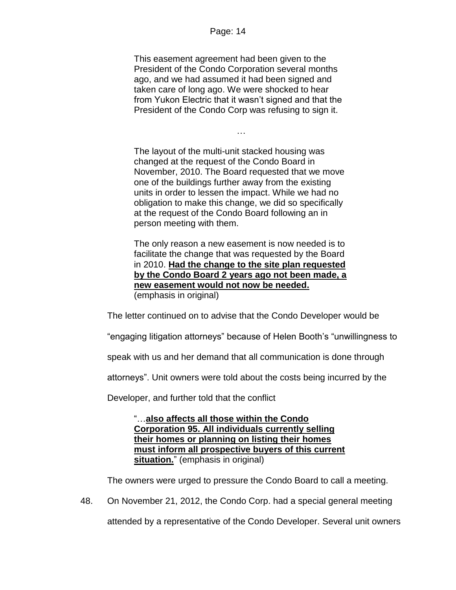#### Page: 14

This easement agreement had been given to the President of the Condo Corporation several months ago, and we had assumed it had been signed and taken care of long ago. We were shocked to hear from Yukon Electric that it wasn't signed and that the President of the Condo Corp was refusing to sign it.

…

The layout of the multi-unit stacked housing was changed at the request of the Condo Board in November, 2010. The Board requested that we move one of the buildings further away from the existing units in order to lessen the impact. While we had no obligation to make this change, we did so specifically at the request of the Condo Board following an in person meeting with them.

The only reason a new easement is now needed is to facilitate the change that was requested by the Board in 2010. **Had the change to the site plan requested by the Condo Board 2 years ago not been made, a new easement would not now be needed.**  (emphasis in original)

The letter continued on to advise that the Condo Developer would be

"engaging litigation attorneys" because of Helen Booth's "unwillingness to

speak with us and her demand that all communication is done through

attorneys". Unit owners were told about the costs being incurred by the

Developer, and further told that the conflict

"…**also affects all those within the Condo Corporation 95. All individuals currently selling their homes or planning on listing their homes must inform all prospective buyers of this current situation.**" (emphasis in original)

The owners were urged to pressure the Condo Board to call a meeting.

48. On November 21, 2012, the Condo Corp. had a special general meeting attended by a representative of the Condo Developer. Several unit owners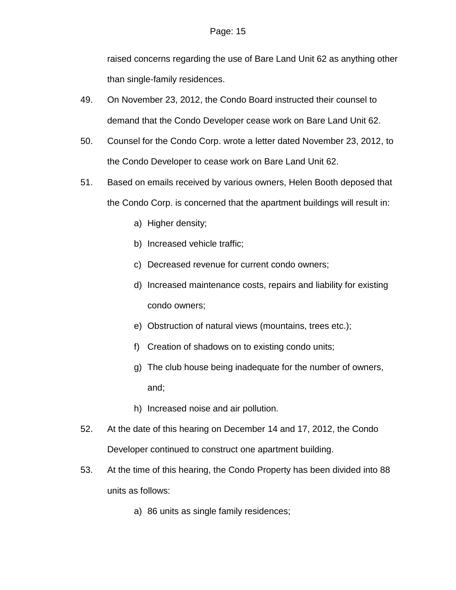raised concerns regarding the use of Bare Land Unit 62 as anything other than single-family residences.

- 49. On November 23, 2012, the Condo Board instructed their counsel to demand that the Condo Developer cease work on Bare Land Unit 62.
- 50. Counsel for the Condo Corp. wrote a letter dated November 23, 2012, to the Condo Developer to cease work on Bare Land Unit 62.
- 51. Based on emails received by various owners, Helen Booth deposed that the Condo Corp. is concerned that the apartment buildings will result in:
	- a) Higher density;
	- b) Increased vehicle traffic;
	- c) Decreased revenue for current condo owners;
	- d) Increased maintenance costs, repairs and liability for existing condo owners;
	- e) Obstruction of natural views (mountains, trees etc.);
	- f) Creation of shadows on to existing condo units;
	- g) The club house being inadequate for the number of owners, and;
	- h) Increased noise and air pollution.
- 52. At the date of this hearing on December 14 and 17, 2012, the Condo Developer continued to construct one apartment building.
- 53. At the time of this hearing, the Condo Property has been divided into 88 units as follows:
	- a) 86 units as single family residences;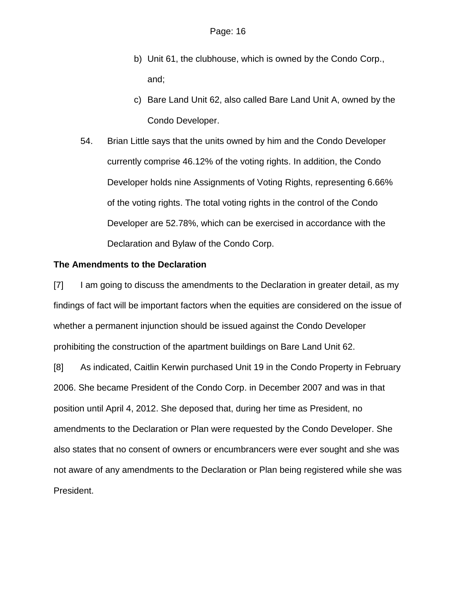- b) Unit 61, the clubhouse, which is owned by the Condo Corp., and;
- c) Bare Land Unit 62, also called Bare Land Unit A, owned by the Condo Developer.
- 54. Brian Little says that the units owned by him and the Condo Developer currently comprise 46.12% of the voting rights. In addition, the Condo Developer holds nine Assignments of Voting Rights, representing 6.66% of the voting rights. The total voting rights in the control of the Condo Developer are 52.78%, which can be exercised in accordance with the Declaration and Bylaw of the Condo Corp.

## **The Amendments to the Declaration**

[7] I am going to discuss the amendments to the Declaration in greater detail, as my findings of fact will be important factors when the equities are considered on the issue of whether a permanent injunction should be issued against the Condo Developer prohibiting the construction of the apartment buildings on Bare Land Unit 62.

[8] As indicated, Caitlin Kerwin purchased Unit 19 in the Condo Property in February 2006. She became President of the Condo Corp. in December 2007 and was in that position until April 4, 2012. She deposed that, during her time as President, no amendments to the Declaration or Plan were requested by the Condo Developer. She also states that no consent of owners or encumbrancers were ever sought and she was not aware of any amendments to the Declaration or Plan being registered while she was President.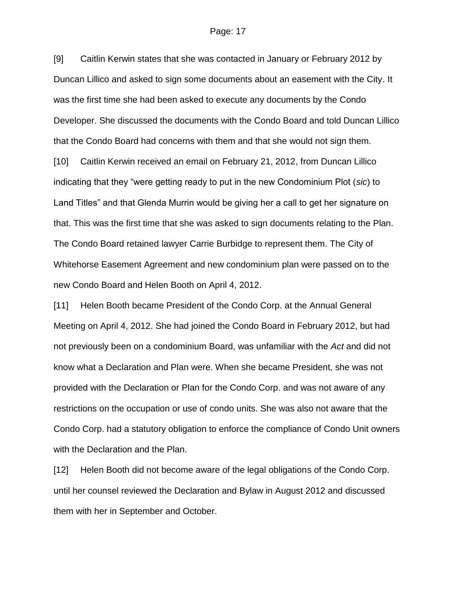#### Page: 17

[9] Caitlin Kerwin states that she was contacted in January or February 2012 by Duncan Lillico and asked to sign some documents about an easement with the City. It was the first time she had been asked to execute any documents by the Condo Developer. She discussed the documents with the Condo Board and told Duncan Lillico that the Condo Board had concerns with them and that she would not sign them. [10] Caitlin Kerwin received an email on February 21, 2012, from Duncan Lillico indicating that they "were getting ready to put in the new Condominium Plot (*sic*) to Land Titles" and that Glenda Murrin would be giving her a call to get her signature on that. This was the first time that she was asked to sign documents relating to the Plan. The Condo Board retained lawyer Carrie Burbidge to represent them. The City of Whitehorse Easement Agreement and new condominium plan were passed on to the new Condo Board and Helen Booth on April 4, 2012.

[11] Helen Booth became President of the Condo Corp. at the Annual General Meeting on April 4, 2012. She had joined the Condo Board in February 2012, but had not previously been on a condominium Board, was unfamiliar with the *Act* and did not know what a Declaration and Plan were. When she became President, she was not provided with the Declaration or Plan for the Condo Corp. and was not aware of any restrictions on the occupation or use of condo units. She was also not aware that the Condo Corp. had a statutory obligation to enforce the compliance of Condo Unit owners with the Declaration and the Plan.

[12] Helen Booth did not become aware of the legal obligations of the Condo Corp. until her counsel reviewed the Declaration and Bylaw in August 2012 and discussed them with her in September and October.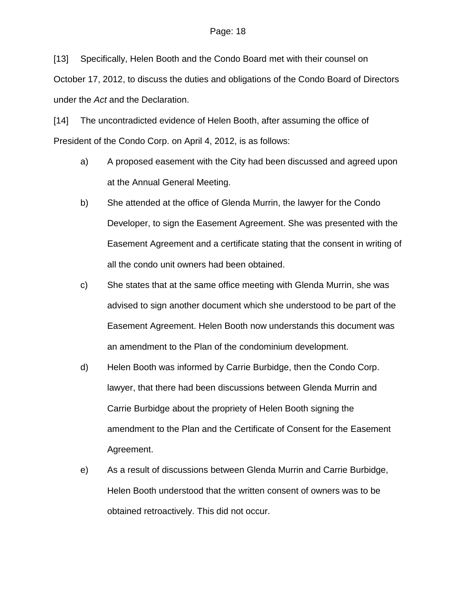[13] Specifically, Helen Booth and the Condo Board met with their counsel on October 17, 2012, to discuss the duties and obligations of the Condo Board of Directors under the *Act* and the Declaration.

[14] The uncontradicted evidence of Helen Booth, after assuming the office of President of the Condo Corp. on April 4, 2012, is as follows:

- a) A proposed easement with the City had been discussed and agreed upon at the Annual General Meeting.
- b) She attended at the office of Glenda Murrin, the lawyer for the Condo Developer, to sign the Easement Agreement. She was presented with the Easement Agreement and a certificate stating that the consent in writing of all the condo unit owners had been obtained.
- c) She states that at the same office meeting with Glenda Murrin, she was advised to sign another document which she understood to be part of the Easement Agreement. Helen Booth now understands this document was an amendment to the Plan of the condominium development.
- d) Helen Booth was informed by Carrie Burbidge, then the Condo Corp. lawyer, that there had been discussions between Glenda Murrin and Carrie Burbidge about the propriety of Helen Booth signing the amendment to the Plan and the Certificate of Consent for the Easement Agreement.
- e) As a result of discussions between Glenda Murrin and Carrie Burbidge, Helen Booth understood that the written consent of owners was to be obtained retroactively. This did not occur.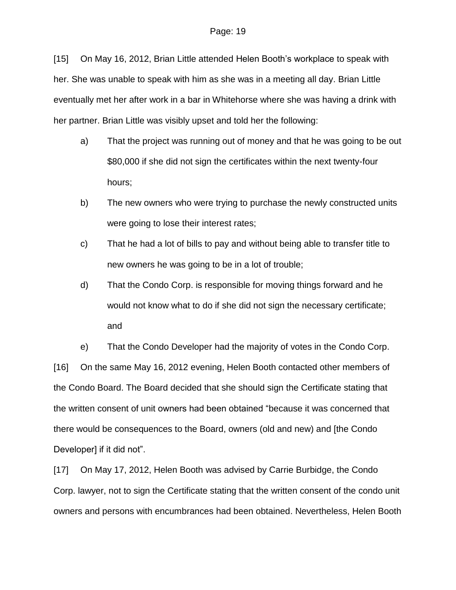[15] On May 16, 2012, Brian Little attended Helen Booth's workplace to speak with her. She was unable to speak with him as she was in a meeting all day. Brian Little eventually met her after work in a bar in Whitehorse where she was having a drink with her partner. Brian Little was visibly upset and told her the following:

- a) That the project was running out of money and that he was going to be out \$80,000 if she did not sign the certificates within the next twenty-four hours;
- b) The new owners who were trying to purchase the newly constructed units were going to lose their interest rates;
- c) That he had a lot of bills to pay and without being able to transfer title to new owners he was going to be in a lot of trouble;
- d) That the Condo Corp. is responsible for moving things forward and he would not know what to do if she did not sign the necessary certificate; and

e) That the Condo Developer had the majority of votes in the Condo Corp. [16] On the same May 16, 2012 evening, Helen Booth contacted other members of the Condo Board. The Board decided that she should sign the Certificate stating that the written consent of unit owners had been obtained "because it was concerned that there would be consequences to the Board, owners (old and new) and [the Condo Developer] if it did not".

[17] On May 17, 2012, Helen Booth was advised by Carrie Burbidge, the Condo Corp. lawyer, not to sign the Certificate stating that the written consent of the condo unit owners and persons with encumbrances had been obtained. Nevertheless, Helen Booth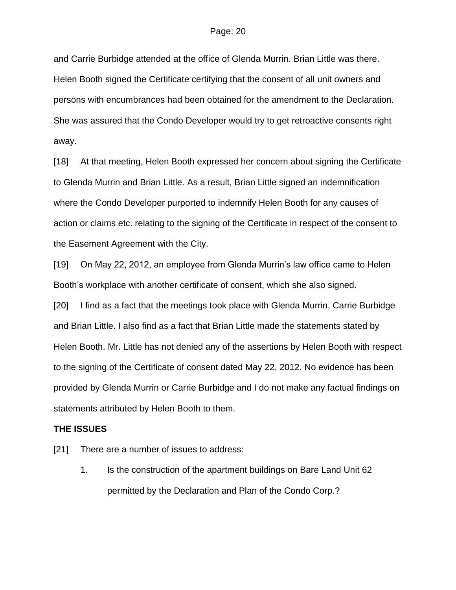and Carrie Burbidge attended at the office of Glenda Murrin. Brian Little was there. Helen Booth signed the Certificate certifying that the consent of all unit owners and persons with encumbrances had been obtained for the amendment to the Declaration. She was assured that the Condo Developer would try to get retroactive consents right away.

[18] At that meeting, Helen Booth expressed her concern about signing the Certificate to Glenda Murrin and Brian Little. As a result, Brian Little signed an indemnification where the Condo Developer purported to indemnify Helen Booth for any causes of action or claims etc. relating to the signing of the Certificate in respect of the consent to the Easement Agreement with the City.

[19] On May 22, 2012, an employee from Glenda Murrin's law office came to Helen Booth's workplace with another certificate of consent, which she also signed.

[20] I find as a fact that the meetings took place with Glenda Murrin, Carrie Burbidge and Brian Little. I also find as a fact that Brian Little made the statements stated by Helen Booth. Mr. Little has not denied any of the assertions by Helen Booth with respect to the signing of the Certificate of consent dated May 22, 2012. No evidence has been provided by Glenda Murrin or Carrie Burbidge and I do not make any factual findings on statements attributed by Helen Booth to them.

#### **THE ISSUES**

- [21] There are a number of issues to address:
	- 1. Is the construction of the apartment buildings on Bare Land Unit 62 permitted by the Declaration and Plan of the Condo Corp.?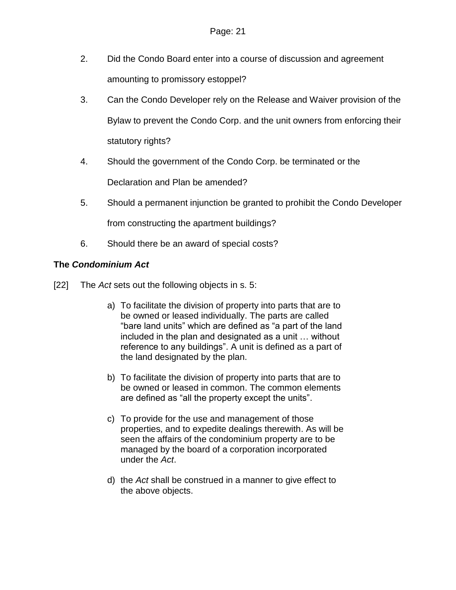- 2. Did the Condo Board enter into a course of discussion and agreement amounting to promissory estoppel?
- 3. Can the Condo Developer rely on the Release and Waiver provision of the Bylaw to prevent the Condo Corp. and the unit owners from enforcing their statutory rights?
- 4. Should the government of the Condo Corp. be terminated or the Declaration and Plan be amended?
- 5. Should a permanent injunction be granted to prohibit the Condo Developer

from constructing the apartment buildings?

6. Should there be an award of special costs?

## **The** *Condominium Act*

- [22] The *Act* sets out the following objects in s. 5:
	- a) To facilitate the division of property into parts that are to be owned or leased individually. The parts are called "bare land units" which are defined as "a part of the land included in the plan and designated as a unit … without reference to any buildings". A unit is defined as a part of the land designated by the plan.
	- b) To facilitate the division of property into parts that are to be owned or leased in common. The common elements are defined as "all the property except the units".
	- c) To provide for the use and management of those properties, and to expedite dealings therewith. As will be seen the affairs of the condominium property are to be managed by the board of a corporation incorporated under the *Act*.
	- d) the *Act* shall be construed in a manner to give effect to the above objects.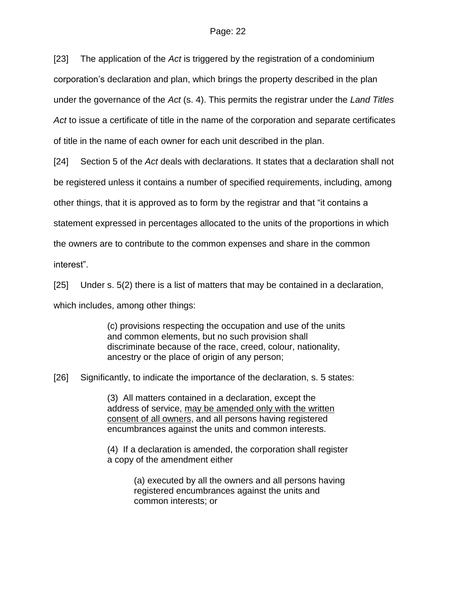[23] The application of the *Act* is triggered by the registration of a condominium corporation's declaration and plan, which brings the property described in the plan under the governance of the *Act* (s. 4). This permits the registrar under the *Land Titles Act* to issue a certificate of title in the name of the corporation and separate certificates of title in the name of each owner for each unit described in the plan.

[24] Section 5 of the *Act* deals with declarations. It states that a declaration shall not be registered unless it contains a number of specified requirements, including, among other things, that it is approved as to form by the registrar and that "it contains a statement expressed in percentages allocated to the units of the proportions in which the owners are to contribute to the common expenses and share in the common interest".

[25] Under s. 5(2) there is a list of matters that may be contained in a declaration, which includes, among other things:

> (c) provisions respecting the occupation and use of the units and common elements, but no such provision shall discriminate because of the race, creed, colour, nationality, ancestry or the place of origin of any person;

[26] Significantly, to indicate the importance of the declaration, s. 5 states:

(3) All matters contained in a declaration, except the address of service, may be amended only with the written consent of all owners, and all persons having registered encumbrances against the units and common interests.

(4) If a declaration is amended, the corporation shall register a copy of the amendment either

> (a) executed by all the owners and all persons having registered encumbrances against the units and common interests; or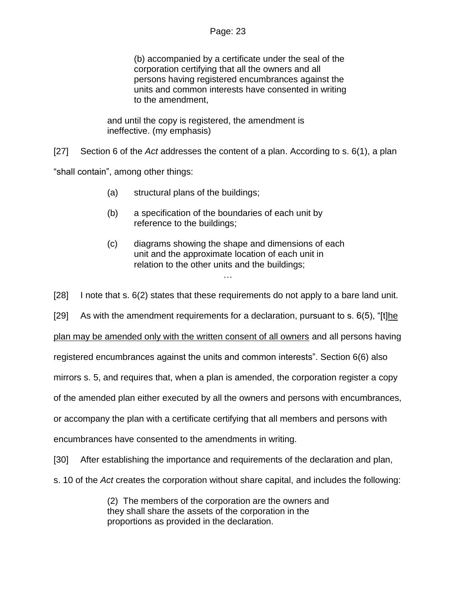(b) accompanied by a certificate under the seal of the corporation certifying that all the owners and all persons having registered encumbrances against the units and common interests have consented in writing to the amendment,

and until the copy is registered, the amendment is ineffective. (my emphasis)

[27] Section 6 of the *Act* addresses the content of a plan. According to s. 6(1), a plan

"shall contain", among other things:

- (a) structural plans of the buildings;
- (b) a specification of the boundaries of each unit by reference to the buildings;
- (c) diagrams showing the shape and dimensions of each unit and the approximate location of each unit in relation to the other units and the buildings; …

[28] I note that s. 6(2) states that these requirements do not apply to a bare land unit.

[29] As with the amendment requirements for a declaration, pursuant to s. 6(5), "[t]he

plan may be amended only with the written consent of all owners and all persons having

registered encumbrances against the units and common interests". Section 6(6) also

mirrors s. 5, and requires that, when a plan is amended, the corporation register a copy

of the amended plan either executed by all the owners and persons with encumbrances,

or accompany the plan with a certificate certifying that all members and persons with

encumbrances have consented to the amendments in writing.

[30] After establishing the importance and requirements of the declaration and plan,

s. 10 of the *Act* creates the corporation without share capital, and includes the following:

(2) The members of the corporation are the owners and they shall share the assets of the corporation in the proportions as provided in the declaration.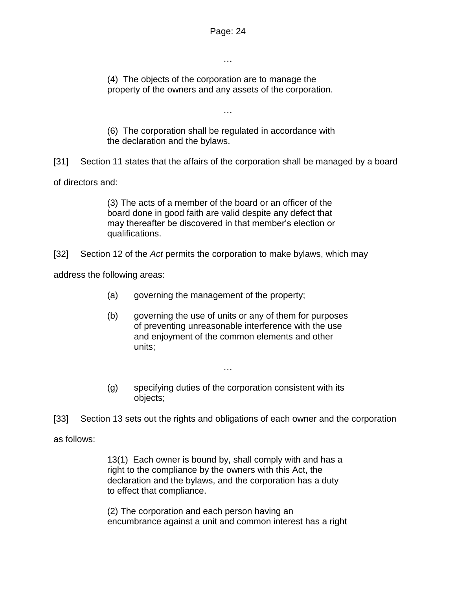…

(4) The objects of the corporation are to manage the property of the owners and any assets of the corporation.

(6) The corporation shall be regulated in accordance with the declaration and the bylaws.

…

[31] Section 11 states that the affairs of the corporation shall be managed by a board

of directors and:

(3) The acts of a member of the board or an officer of the board done in good faith are valid despite any defect that may thereafter be discovered in that member's election or qualifications.

[32] Section 12 of the *Act* permits the corporation to make bylaws, which may

address the following areas:

- (a) governing the management of the property;
- (b) governing the use of units or any of them for purposes of preventing unreasonable interference with the use and enjoyment of the common elements and other units;
- (g) specifying duties of the corporation consistent with its objects;

…

[33] Section 13 sets out the rights and obligations of each owner and the corporation

as follows:

13(1) Each owner is bound by, shall comply with and has a right to the compliance by the owners with this Act, the declaration and the bylaws, and the corporation has a duty to effect that compliance.

(2) The corporation and each person having an encumbrance against a unit and common interest has a right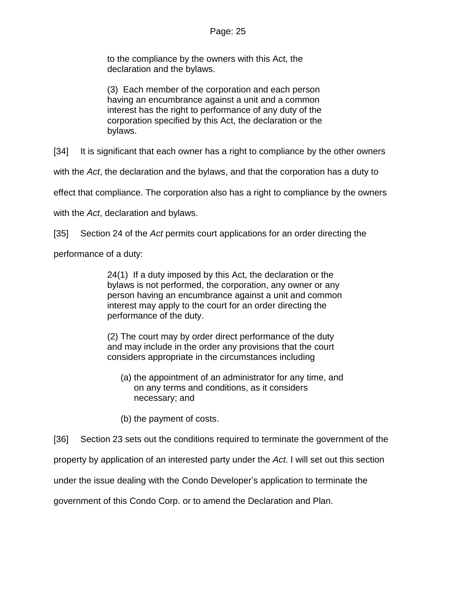to the compliance by the owners with this Act, the declaration and the bylaws.

(3) Each member of the corporation and each person having an encumbrance against a unit and a common interest has the right to performance of any duty of the corporation specified by this Act, the declaration or the bylaws.

[34] It is significant that each owner has a right to compliance by the other owners

with the *Act*, the declaration and the bylaws, and that the corporation has a duty to

effect that compliance. The corporation also has a right to compliance by the owners

with the *Act*, declaration and bylaws.

[35] Section 24 of the *Act* permits court applications for an order directing the

performance of a duty:

24(1) If a duty imposed by this Act, the declaration or the bylaws is not performed, the corporation, any owner or any person having an encumbrance against a unit and common interest may apply to the court for an order directing the performance of the duty.

(2) The court may by order direct performance of the duty and may include in the order any provisions that the court considers appropriate in the circumstances including

- (a) the appointment of an administrator for any time, and on any terms and conditions, as it considers necessary; and
- (b) the payment of costs.

[36] Section 23 sets out the conditions required to terminate the government of the

property by application of an interested party under the *Act*. I will set out this section

under the issue dealing with the Condo Developer's application to terminate the

government of this Condo Corp. or to amend the Declaration and Plan.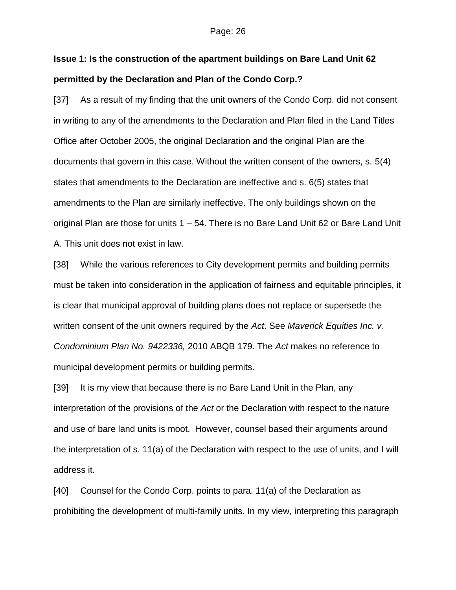#### Page: 26

# **Issue 1: Is the construction of the apartment buildings on Bare Land Unit 62 permitted by the Declaration and Plan of the Condo Corp.?**

[37] As a result of my finding that the unit owners of the Condo Corp. did not consent in writing to any of the amendments to the Declaration and Plan filed in the Land Titles Office after October 2005, the original Declaration and the original Plan are the documents that govern in this case. Without the written consent of the owners, s. 5(4) states that amendments to the Declaration are ineffective and s. 6(5) states that amendments to the Plan are similarly ineffective. The only buildings shown on the original Plan are those for units 1 – 54. There is no Bare Land Unit 62 or Bare Land Unit A. This unit does not exist in law.

[38] While the various references to City development permits and building permits must be taken into consideration in the application of fairness and equitable principles, it is clear that municipal approval of building plans does not replace or supersede the written consent of the unit owners required by the *Act*. See *Maverick Equities Inc. v. Condominium Plan No. 9422336,* 2010 ABQB 179. The *Act* makes no reference to municipal development permits or building permits.

[39] It is my view that because there is no Bare Land Unit in the Plan, any interpretation of the provisions of the *Act* or the Declaration with respect to the nature and use of bare land units is moot. However, counsel based their arguments around the interpretation of s. 11(a) of the Declaration with respect to the use of units, and I will address it.

[40] Counsel for the Condo Corp. points to para. 11(a) of the Declaration as prohibiting the development of multi-family units. In my view, interpreting this paragraph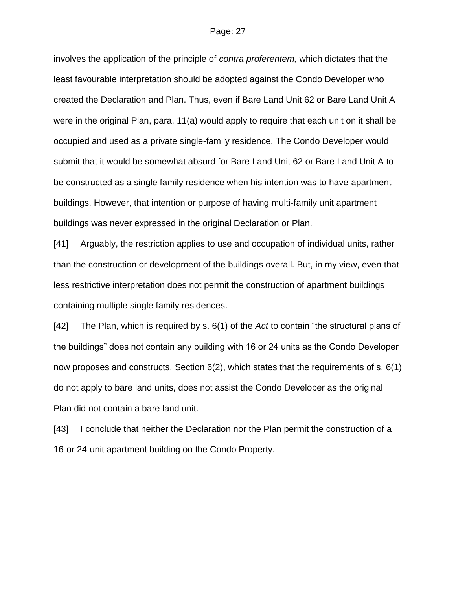involves the application of the principle of *contra proferentem,* which dictates that the least favourable interpretation should be adopted against the Condo Developer who created the Declaration and Plan. Thus, even if Bare Land Unit 62 or Bare Land Unit A were in the original Plan, para. 11(a) would apply to require that each unit on it shall be occupied and used as a private single-family residence. The Condo Developer would submit that it would be somewhat absurd for Bare Land Unit 62 or Bare Land Unit A to be constructed as a single family residence when his intention was to have apartment buildings. However, that intention or purpose of having multi-family unit apartment buildings was never expressed in the original Declaration or Plan.

[41] Arguably, the restriction applies to use and occupation of individual units, rather than the construction or development of the buildings overall. But, in my view, even that less restrictive interpretation does not permit the construction of apartment buildings containing multiple single family residences.

[42] The Plan, which is required by s. 6(1) of the *Act* to contain "the structural plans of the buildings" does not contain any building with 16 or 24 units as the Condo Developer now proposes and constructs. Section 6(2), which states that the requirements of s. 6(1) do not apply to bare land units, does not assist the Condo Developer as the original Plan did not contain a bare land unit.

[43] I conclude that neither the Declaration nor the Plan permit the construction of a 16-or 24-unit apartment building on the Condo Property.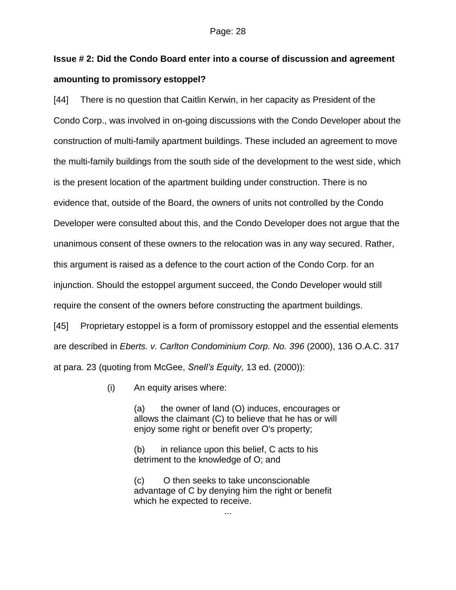# **Issue # 2: Did the Condo Board enter into a course of discussion and agreement amounting to promissory estoppel?**

[44] There is no question that Caitlin Kerwin, in her capacity as President of the Condo Corp., was involved in on-going discussions with the Condo Developer about the construction of multi-family apartment buildings. These included an agreement to move the multi-family buildings from the south side of the development to the west side, which is the present location of the apartment building under construction. There is no evidence that, outside of the Board, the owners of units not controlled by the Condo Developer were consulted about this, and the Condo Developer does not argue that the unanimous consent of these owners to the relocation was in any way secured. Rather, this argument is raised as a defence to the court action of the Condo Corp. for an injunction. Should the estoppel argument succeed, the Condo Developer would still require the consent of the owners before constructing the apartment buildings.

[45] Proprietary estoppel is a form of promissory estoppel and the essential elements are described in *Eberts. v. Carlton Condominium Corp. No. 396* (2000), 136 O.A.C. 317 at para. 23 (quoting from McGee, *Snell's Equity,* 13 ed. (2000)):

(i) An equity arises where:

(a) the owner of land (O) induces, encourages or allows the claimant (C) to believe that he has or will enjoy some right or benefit over O's property;

(b) in reliance upon this belief, C acts to his detriment to the knowledge of O; and

(c) O then seeks to take unconscionable advantage of C by denying him the right or benefit which he expected to receive.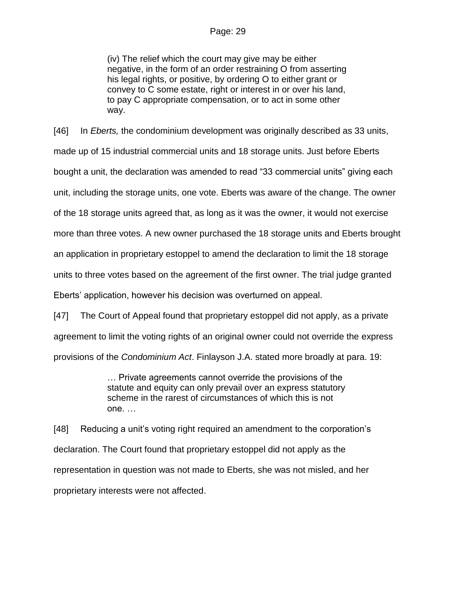#### Page: 29

(iv) The relief which the court may give may be either negative, in the form of an order restraining O from asserting his legal rights, or positive, by ordering O to either grant or convey to C some estate, right or interest in or over his land, to pay C appropriate compensation, or to act in some other way.

[46] In *Eberts,* the condominium development was originally described as 33 units, made up of 15 industrial commercial units and 18 storage units. Just before Eberts bought a unit, the declaration was amended to read "33 commercial units" giving each unit, including the storage units, one vote. Eberts was aware of the change. The owner of the 18 storage units agreed that, as long as it was the owner, it would not exercise more than three votes. A new owner purchased the 18 storage units and Eberts brought an application in proprietary estoppel to amend the declaration to limit the 18 storage units to three votes based on the agreement of the first owner. The trial judge granted Eberts' application, however his decision was overturned on appeal.

[47] The Court of Appeal found that proprietary estoppel did not apply, as a private agreement to limit the voting rights of an original owner could not override the express provisions of the *Condominium Act*. Finlayson J.A. stated more broadly at para. 19:

> … Private agreements cannot override the provisions of the statute and equity can only prevail over an express statutory scheme in the rarest of circumstances of which this is not one. …

[48] Reducing a unit's voting right required an amendment to the corporation's declaration. The Court found that proprietary estoppel did not apply as the representation in question was not made to Eberts, she was not misled, and her proprietary interests were not affected.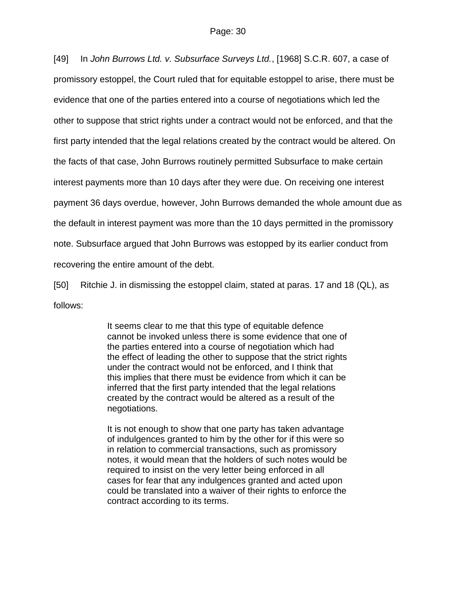[49] In *John Burrows Ltd. v. Subsurface Surveys Ltd.*, [1968] S.C.R. 607, a case of promissory estoppel, the Court ruled that for equitable estoppel to arise, there must be evidence that one of the parties entered into a course of negotiations which led the other to suppose that strict rights under a contract would not be enforced, and that the first party intended that the legal relations created by the contract would be altered. On the facts of that case, John Burrows routinely permitted Subsurface to make certain interest payments more than 10 days after they were due. On receiving one interest payment 36 days overdue, however, John Burrows demanded the whole amount due as the default in interest payment was more than the 10 days permitted in the promissory note. Subsurface argued that John Burrows was estopped by its earlier conduct from recovering the entire amount of the debt.

[50] Ritchie J. in dismissing the estoppel claim, stated at paras. 17 and 18 (QL), as follows:

> It seems clear to me that this type of equitable defence cannot be invoked unless there is some evidence that one of the parties entered into a course of negotiation which had the effect of leading the other to suppose that the strict rights under the contract would not be enforced, and I think that this implies that there must be evidence from which it can be inferred that the first party intended that the legal relations created by the contract would be altered as a result of the negotiations.

> It is not enough to show that one party has taken advantage of indulgences granted to him by the other for if this were so in relation to commercial transactions, such as promissory notes, it would mean that the holders of such notes would be required to insist on the very letter being enforced in all cases for fear that any indulgences granted and acted upon could be translated into a waiver of their rights to enforce the contract according to its terms.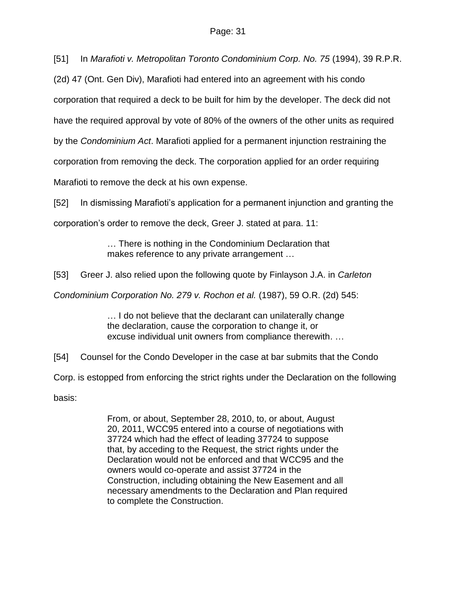[51] In *Marafioti v. Metropolitan Toronto Condominium Corp. No. 75* (1994), 39 R.P.R.

(2d) 47 (Ont. Gen Div), Marafioti had entered into an agreement with his condo

corporation that required a deck to be built for him by the developer. The deck did not

have the required approval by vote of 80% of the owners of the other units as required

by the *Condominium Act*. Marafioti applied for a permanent injunction restraining the

corporation from removing the deck. The corporation applied for an order requiring

Marafioti to remove the deck at his own expense.

[52] In dismissing Marafioti's application for a permanent injunction and granting the

corporation's order to remove the deck, Greer J. stated at para. 11:

… There is nothing in the Condominium Declaration that makes reference to any private arrangement …

[53] Greer J. also relied upon the following quote by Finlayson J.A. in *Carleton* 

*Condominium Corporation No. 279 v. Rochon et al.* (1987), 59 O.R. (2d) 545:

… I do not believe that the declarant can unilaterally change the declaration, cause the corporation to change it, or excuse individual unit owners from compliance therewith. …

[54] Counsel for the Condo Developer in the case at bar submits that the Condo

Corp. is estopped from enforcing the strict rights under the Declaration on the following

basis:

From, or about, September 28, 2010, to, or about, August 20, 2011, WCC95 entered into a course of negotiations with 37724 which had the effect of leading 37724 to suppose that, by acceding to the Request, the strict rights under the Declaration would not be enforced and that WCC95 and the owners would co-operate and assist 37724 in the Construction, including obtaining the New Easement and all necessary amendments to the Declaration and Plan required to complete the Construction.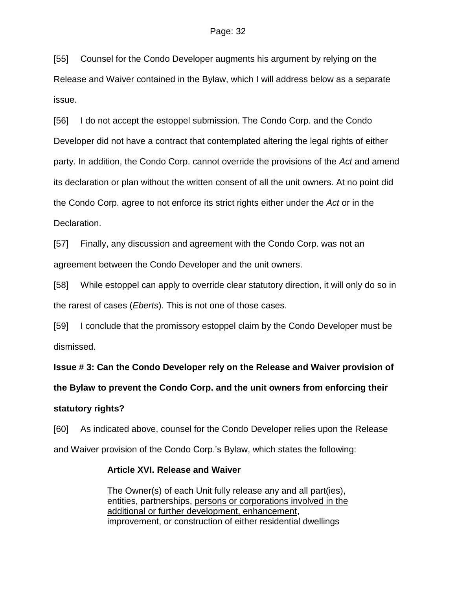[55] Counsel for the Condo Developer augments his argument by relying on the Release and Waiver contained in the Bylaw, which I will address below as a separate issue.

[56] I do not accept the estoppel submission. The Condo Corp. and the Condo Developer did not have a contract that contemplated altering the legal rights of either party. In addition, the Condo Corp. cannot override the provisions of the *Act* and amend its declaration or plan without the written consent of all the unit owners. At no point did the Condo Corp. agree to not enforce its strict rights either under the *Act* or in the Declaration.

[57] Finally, any discussion and agreement with the Condo Corp. was not an agreement between the Condo Developer and the unit owners.

[58] While estoppel can apply to override clear statutory direction, it will only do so in the rarest of cases (*Eberts*). This is not one of those cases.

[59] I conclude that the promissory estoppel claim by the Condo Developer must be dismissed.

**Issue # 3: Can the Condo Developer rely on the Release and Waiver provision of** 

**the Bylaw to prevent the Condo Corp. and the unit owners from enforcing their** 

## **statutory rights?**

[60] As indicated above, counsel for the Condo Developer relies upon the Release and Waiver provision of the Condo Corp.'s Bylaw, which states the following:

## **Article XVI. Release and Waiver**

The Owner(s) of each Unit fully release any and all part(ies), entities, partnerships, persons or corporations involved in the additional or further development, enhancement, improvement, or construction of either residential dwellings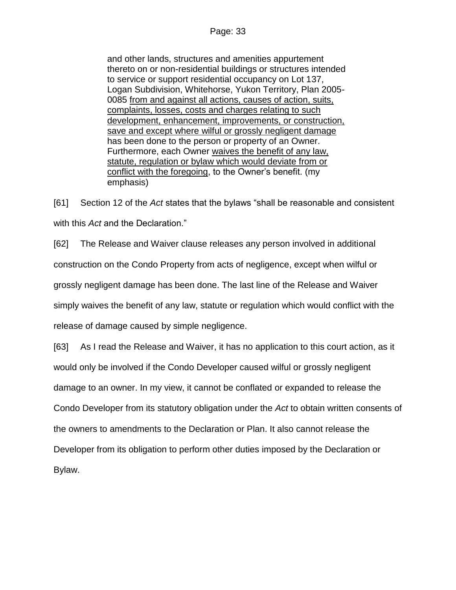and other lands, structures and amenities appurtement thereto on or non-residential buildings or structures intended to service or support residential occupancy on Lot 137, Logan Subdivision, Whitehorse, Yukon Territory, Plan 2005- 0085 from and against all actions, causes of action, suits, complaints, losses, costs and charges relating to such development, enhancement, improvements, or construction, save and except where wilful or grossly negligent damage has been done to the person or property of an Owner. Furthermore, each Owner waives the benefit of any law, statute, regulation or bylaw which would deviate from or conflict with the foregoing, to the Owner's benefit. (my emphasis)

[61] Section 12 of the *Act* states that the bylaws "shall be reasonable and consistent with this *Act* and the Declaration."

[62] The Release and Waiver clause releases any person involved in additional construction on the Condo Property from acts of negligence, except when wilful or grossly negligent damage has been done. The last line of the Release and Waiver simply waives the benefit of any law, statute or regulation which would conflict with the release of damage caused by simple negligence.

[63] As I read the Release and Waiver, it has no application to this court action, as it would only be involved if the Condo Developer caused wilful or grossly negligent damage to an owner. In my view, it cannot be conflated or expanded to release the Condo Developer from its statutory obligation under the *Act* to obtain written consents of the owners to amendments to the Declaration or Plan. It also cannot release the Developer from its obligation to perform other duties imposed by the Declaration or Bylaw.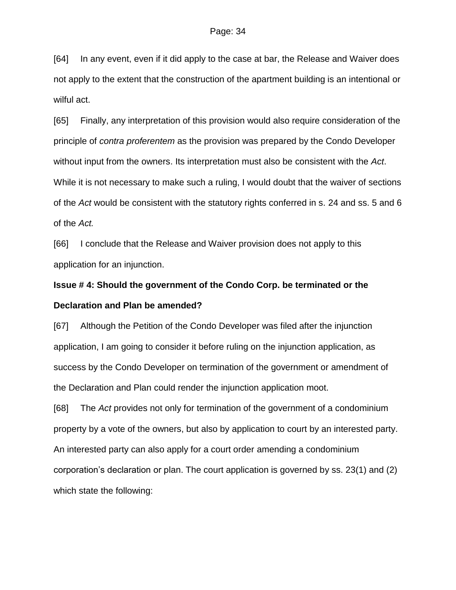[64] In any event, even if it did apply to the case at bar, the Release and Waiver does not apply to the extent that the construction of the apartment building is an intentional or wilful act.

[65] Finally, any interpretation of this provision would also require consideration of the principle of *contra proferentem* as the provision was prepared by the Condo Developer without input from the owners. Its interpretation must also be consistent with the *Act*. While it is not necessary to make such a ruling, I would doubt that the waiver of sections of the *Act* would be consistent with the statutory rights conferred in s. 24 and ss. 5 and 6 of the *Act.*

[66] I conclude that the Release and Waiver provision does not apply to this application for an injunction.

# **Issue # 4: Should the government of the Condo Corp. be terminated or the Declaration and Plan be amended?**

[67] Although the Petition of the Condo Developer was filed after the injunction application, I am going to consider it before ruling on the injunction application, as success by the Condo Developer on termination of the government or amendment of the Declaration and Plan could render the injunction application moot.

[68] The *Act* provides not only for termination of the government of a condominium property by a vote of the owners, but also by application to court by an interested party. An interested party can also apply for a court order amending a condominium corporation's declaration or plan. The court application is governed by ss. 23(1) and (2) which state the following: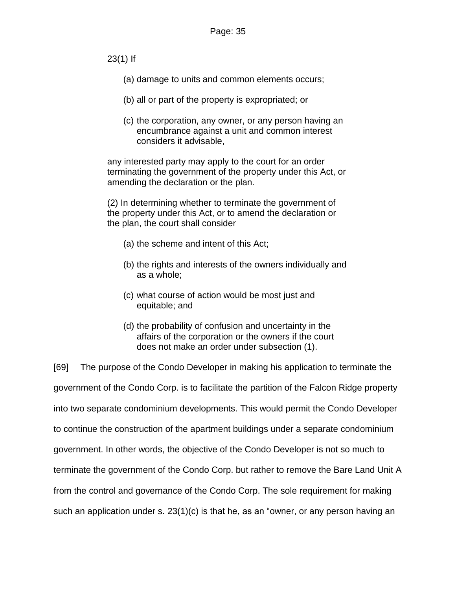23(1) If

- (a) damage to units and common elements occurs;
- (b) all or part of the property is expropriated; or
- (c) the corporation, any owner, or any person having an encumbrance against a unit and common interest considers it advisable,

any interested party may apply to the court for an order terminating the government of the property under this Act, or amending the declaration or the plan.

(2) In determining whether to terminate the government of the property under this Act, or to amend the declaration or the plan, the court shall consider

- (a) the scheme and intent of this Act;
- (b) the rights and interests of the owners individually and as a whole;
- (c) what course of action would be most just and equitable; and
- (d) the probability of confusion and uncertainty in the affairs of the corporation or the owners if the court does not make an order under subsection (1).

[69] The purpose of the Condo Developer in making his application to terminate the government of the Condo Corp. is to facilitate the partition of the Falcon Ridge property into two separate condominium developments. This would permit the Condo Developer to continue the construction of the apartment buildings under a separate condominium government. In other words, the objective of the Condo Developer is not so much to terminate the government of the Condo Corp. but rather to remove the Bare Land Unit A from the control and governance of the Condo Corp. The sole requirement for making such an application under s. 23(1)(c) is that he, as an "owner, or any person having an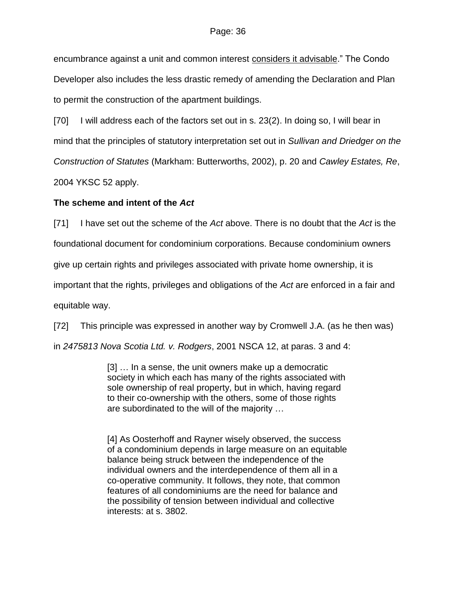encumbrance against a unit and common interest considers it advisable." The Condo Developer also includes the less drastic remedy of amending the Declaration and Plan to permit the construction of the apartment buildings.

[70] I will address each of the factors set out in s. 23(2). In doing so, I will bear in

mind that the principles of statutory interpretation set out in *Sullivan and Driedger on the* 

*Construction of Statutes* (Markham: Butterworths, 2002), p. 20 and *Cawley Estates, Re*,

2004 YKSC 52 apply.

## **The scheme and intent of the** *Act*

[71] I have set out the scheme of the *Act* above. There is no doubt that the *Act* is the

foundational document for condominium corporations. Because condominium owners

give up certain rights and privileges associated with private home ownership, it is

important that the rights, privileges and obligations of the *Act* are enforced in a fair and

equitable way.

[72] This principle was expressed in another way by Cromwell J.A. (as he then was)

in *2475813 Nova Scotia Ltd. v. Rodgers*, 2001 NSCA 12, at paras. 3 and 4:

[3] … In a sense, the unit owners make up a democratic society in which each has many of the rights associated with sole ownership of real property, but in which, having regard to their co-ownership with the others, some of those rights are subordinated to the will of the majority …

[4] As Oosterhoff and Rayner wisely observed, the success of a condominium depends in large measure on an equitable balance being struck between the independence of the individual owners and the interdependence of them all in a co-operative community. It follows, they note, that common features of all condominiums are the need for balance and the possibility of tension between individual and collective interests: at s. 3802.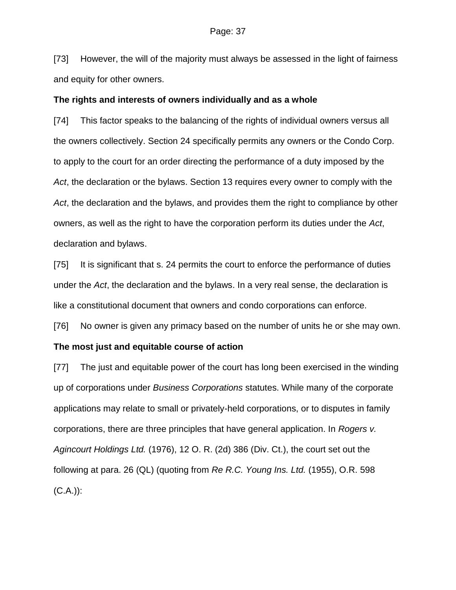[73] However, the will of the majority must always be assessed in the light of fairness and equity for other owners.

#### **The rights and interests of owners individually and as a whole**

[74] This factor speaks to the balancing of the rights of individual owners versus all the owners collectively. Section 24 specifically permits any owners or the Condo Corp. to apply to the court for an order directing the performance of a duty imposed by the *Act*, the declaration or the bylaws. Section 13 requires every owner to comply with the *Act*, the declaration and the bylaws, and provides them the right to compliance by other owners, as well as the right to have the corporation perform its duties under the *Act*, declaration and bylaws.

[75] It is significant that s. 24 permits the court to enforce the performance of duties under the *Act*, the declaration and the bylaws. In a very real sense, the declaration is like a constitutional document that owners and condo corporations can enforce.

[76] No owner is given any primacy based on the number of units he or she may own.

#### **The most just and equitable course of action**

[77] The just and equitable power of the court has long been exercised in the winding up of corporations under *Business Corporations* statutes. While many of the corporate applications may relate to small or privately-held corporations, or to disputes in family corporations, there are three principles that have general application. In *Rogers v. Agincourt Holdings Ltd.* (1976), 12 O. R. (2d) 386 (Div. Ct.), the court set out the following at para. 26 (QL) (quoting from *Re R.C. Young Ins. Ltd.* (1955), O.R. 598  $(C.A.)$ :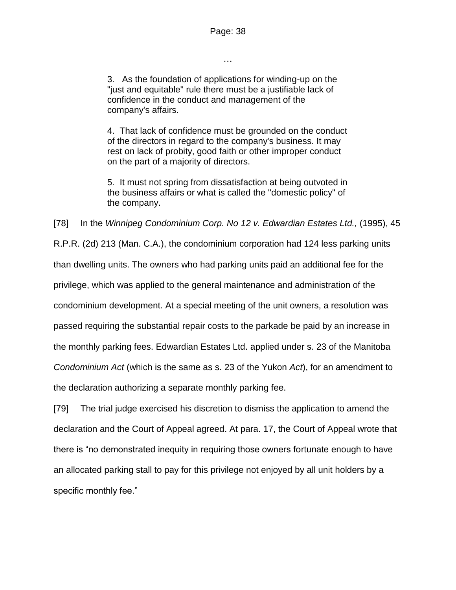…

3. As the foundation of applications for winding-up on the "just and equitable" rule there must be a justifiable lack of confidence in the conduct and management of the company's affairs.

4. That lack of confidence must be grounded on the conduct of the directors in regard to the company's business. It may rest on lack of probity, good faith or other improper conduct on the part of a majority of directors.

5. It must not spring from dissatisfaction at being outvoted in the business affairs or what is called the "domestic policy" of the company.

[78] In the *Winnipeg Condominium Corp. No 12 v. Edwardian Estates Ltd.,* (1995), 45 R.P.R. (2d) 213 (Man. C.A.), the condominium corporation had 124 less parking units than dwelling units. The owners who had parking units paid an additional fee for the privilege, which was applied to the general maintenance and administration of the condominium development. At a special meeting of the unit owners, a resolution was passed requiring the substantial repair costs to the parkade be paid by an increase in the monthly parking fees. Edwardian Estates Ltd. applied under s. 23 of the Manitoba *Condominium Act* (which is the same as s. 23 of the Yukon *Act*), for an amendment to the declaration authorizing a separate monthly parking fee.

[79] The trial judge exercised his discretion to dismiss the application to amend the declaration and the Court of Appeal agreed. At para. 17, the Court of Appeal wrote that there is "no demonstrated inequity in requiring those owners fortunate enough to have an allocated parking stall to pay for this privilege not enjoyed by all unit holders by a specific monthly fee."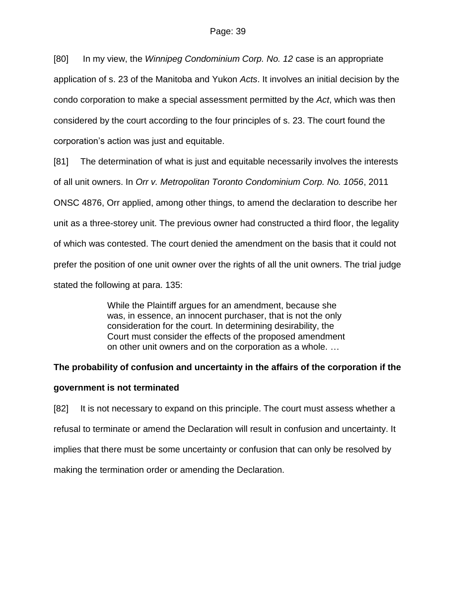[80] In my view, the *Winnipeg Condominium Corp. No. 12* case is an appropriate application of s. 23 of the Manitoba and Yukon *Acts*. It involves an initial decision by the condo corporation to make a special assessment permitted by the *Act*, which was then considered by the court according to the four principles of s. 23. The court found the corporation's action was just and equitable.

[81] The determination of what is just and equitable necessarily involves the interests of all unit owners. In *Orr v. Metropolitan Toronto Condominium Corp. No. 1056*, 2011 ONSC 4876, Orr applied, among other things, to amend the declaration to describe her unit as a three-storey unit. The previous owner had constructed a third floor, the legality of which was contested. The court denied the amendment on the basis that it could not prefer the position of one unit owner over the rights of all the unit owners. The trial judge stated the following at para. 135:

> While the Plaintiff argues for an amendment, because she was, in essence, an innocent purchaser, that is not the only consideration for the court. In determining desirability, the Court must consider the effects of the proposed amendment on other unit owners and on the corporation as a whole. …

## **The probability of confusion and uncertainty in the affairs of the corporation if the**

#### **government is not terminated**

[82] It is not necessary to expand on this principle. The court must assess whether a refusal to terminate or amend the Declaration will result in confusion and uncertainty. It implies that there must be some uncertainty or confusion that can only be resolved by making the termination order or amending the Declaration.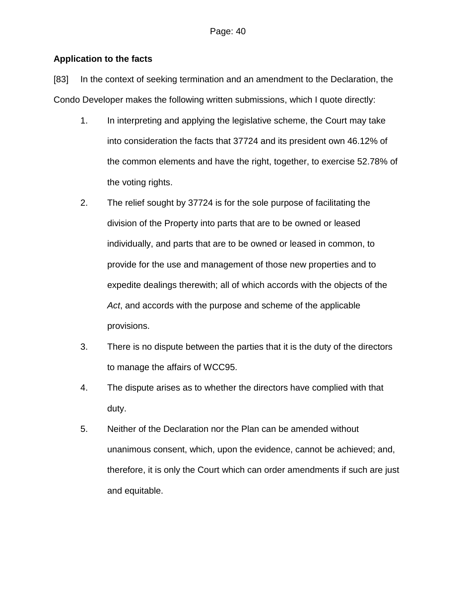## **Application to the facts**

[83] In the context of seeking termination and an amendment to the Declaration, the Condo Developer makes the following written submissions, which I quote directly:

- 1. In interpreting and applying the legislative scheme, the Court may take into consideration the facts that 37724 and its president own 46.12% of the common elements and have the right, together, to exercise 52.78% of the voting rights.
- 2. The relief sought by 37724 is for the sole purpose of facilitating the division of the Property into parts that are to be owned or leased individually, and parts that are to be owned or leased in common, to provide for the use and management of those new properties and to expedite dealings therewith; all of which accords with the objects of the *Act*, and accords with the purpose and scheme of the applicable provisions.
- 3. There is no dispute between the parties that it is the duty of the directors to manage the affairs of WCC95.
- 4. The dispute arises as to whether the directors have complied with that duty.
- 5. Neither of the Declaration nor the Plan can be amended without unanimous consent, which, upon the evidence, cannot be achieved; and, therefore, it is only the Court which can order amendments if such are just and equitable.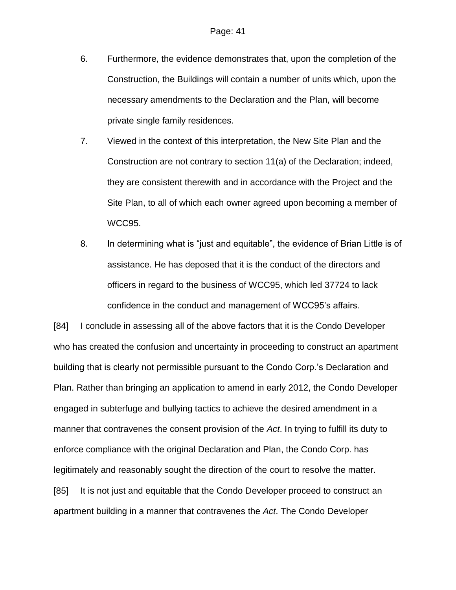- 6. Furthermore, the evidence demonstrates that, upon the completion of the Construction, the Buildings will contain a number of units which, upon the necessary amendments to the Declaration and the Plan, will become private single family residences.
- 7. Viewed in the context of this interpretation, the New Site Plan and the Construction are not contrary to section 11(a) of the Declaration; indeed, they are consistent therewith and in accordance with the Project and the Site Plan, to all of which each owner agreed upon becoming a member of WCC95.
- 8. In determining what is "just and equitable", the evidence of Brian Little is of assistance. He has deposed that it is the conduct of the directors and officers in regard to the business of WCC95, which led 37724 to lack confidence in the conduct and management of WCC95's affairs.

[84] I conclude in assessing all of the above factors that it is the Condo Developer who has created the confusion and uncertainty in proceeding to construct an apartment building that is clearly not permissible pursuant to the Condo Corp.'s Declaration and Plan. Rather than bringing an application to amend in early 2012, the Condo Developer engaged in subterfuge and bullying tactics to achieve the desired amendment in a manner that contravenes the consent provision of the *Act*. In trying to fulfill its duty to enforce compliance with the original Declaration and Plan, the Condo Corp. has legitimately and reasonably sought the direction of the court to resolve the matter. [85] It is not just and equitable that the Condo Developer proceed to construct an apartment building in a manner that contravenes the *Act*. The Condo Developer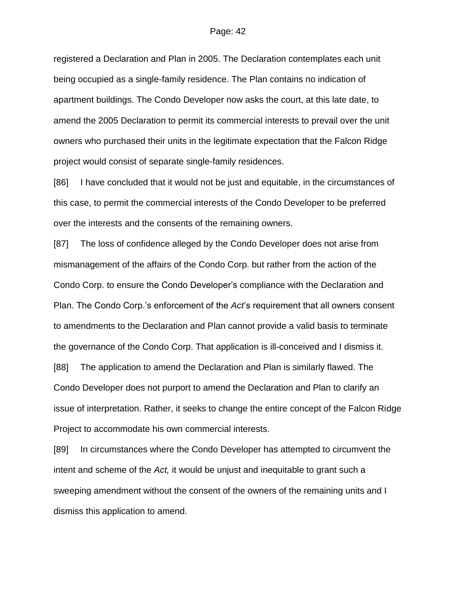registered a Declaration and Plan in 2005. The Declaration contemplates each unit being occupied as a single-family residence. The Plan contains no indication of apartment buildings. The Condo Developer now asks the court, at this late date, to amend the 2005 Declaration to permit its commercial interests to prevail over the unit owners who purchased their units in the legitimate expectation that the Falcon Ridge project would consist of separate single-family residences.

[86] I have concluded that it would not be just and equitable, in the circumstances of this case, to permit the commercial interests of the Condo Developer to be preferred over the interests and the consents of the remaining owners.

[87] The loss of confidence alleged by the Condo Developer does not arise from mismanagement of the affairs of the Condo Corp. but rather from the action of the Condo Corp. to ensure the Condo Developer's compliance with the Declaration and Plan. The Condo Corp.'s enforcement of the *Act*'s requirement that all owners consent to amendments to the Declaration and Plan cannot provide a valid basis to terminate the governance of the Condo Corp. That application is ill-conceived and I dismiss it. [88] The application to amend the Declaration and Plan is similarly flawed. The Condo Developer does not purport to amend the Declaration and Plan to clarify an issue of interpretation. Rather, it seeks to change the entire concept of the Falcon Ridge Project to accommodate his own commercial interests.

[89] In circumstances where the Condo Developer has attempted to circumvent the intent and scheme of the *Act,* it would be unjust and inequitable to grant such a sweeping amendment without the consent of the owners of the remaining units and I dismiss this application to amend.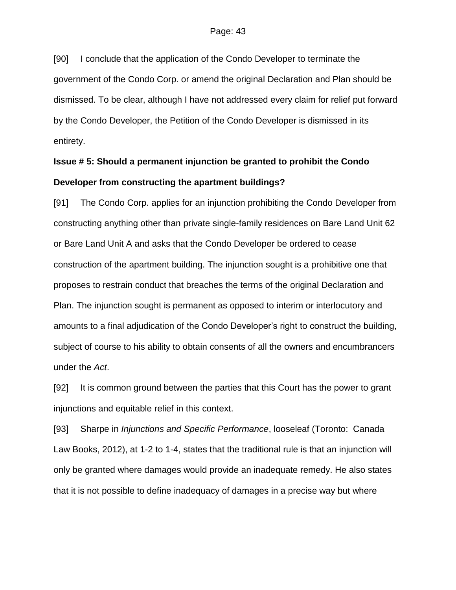[90] I conclude that the application of the Condo Developer to terminate the government of the Condo Corp. or amend the original Declaration and Plan should be dismissed. To be clear, although I have not addressed every claim for relief put forward by the Condo Developer, the Petition of the Condo Developer is dismissed in its entirety.

# **Issue # 5: Should a permanent injunction be granted to prohibit the Condo Developer from constructing the apartment buildings?**

[91] The Condo Corp. applies for an injunction prohibiting the Condo Developer from constructing anything other than private single-family residences on Bare Land Unit 62 or Bare Land Unit A and asks that the Condo Developer be ordered to cease construction of the apartment building. The injunction sought is a prohibitive one that proposes to restrain conduct that breaches the terms of the original Declaration and Plan. The injunction sought is permanent as opposed to interim or interlocutory and amounts to a final adjudication of the Condo Developer's right to construct the building, subject of course to his ability to obtain consents of all the owners and encumbrancers under the *Act*.

[92] It is common ground between the parties that this Court has the power to grant injunctions and equitable relief in this context.

[93] Sharpe in *Injunctions and Specific Performance*, looseleaf (Toronto: Canada Law Books, 2012), at 1-2 to 1-4, states that the traditional rule is that an injunction will only be granted where damages would provide an inadequate remedy. He also states that it is not possible to define inadequacy of damages in a precise way but where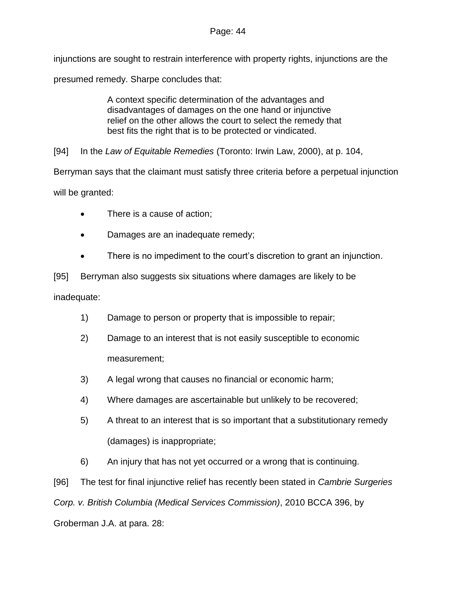### Page: 44

injunctions are sought to restrain interference with property rights, injunctions are the presumed remedy. Sharpe concludes that:

> A context specific determination of the advantages and disadvantages of damages on the one hand or injunctive relief on the other allows the court to select the remedy that best fits the right that is to be protected or vindicated.

[94] In the *Law of Equitable Remedies* (Toronto: Irwin Law, 2000), at p. 104,

Berryman says that the claimant must satisfy three criteria before a perpetual injunction

will be granted:

- There is a cause of action;
- Damages are an inadequate remedy;
- There is no impediment to the court's discretion to grant an injunction.

[95] Berryman also suggests six situations where damages are likely to be inadequate:

- 1) Damage to person or property that is impossible to repair;
- 2) Damage to an interest that is not easily susceptible to economic measurement;
- 3) A legal wrong that causes no financial or economic harm;
- 4) Where damages are ascertainable but unlikely to be recovered;
- 5) A threat to an interest that is so important that a substitutionary remedy (damages) is inappropriate;
- 6) An injury that has not yet occurred or a wrong that is continuing.

[96] The test for final injunctive relief has recently been stated in *Cambrie Surgeries Corp. v. British Columbia (Medical Services Commission)*, 2010 BCCA 396, by Groberman J.A. at para. 28: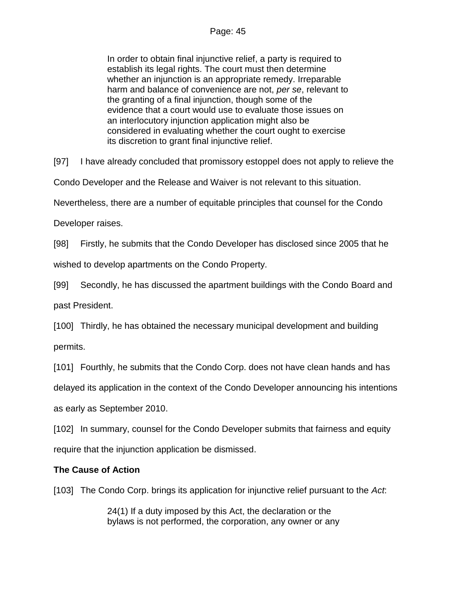In order to obtain final injunctive relief, a party is required to establish its legal rights. The court must then determine whether an injunction is an appropriate remedy. Irreparable harm and balance of convenience are not, *per se*, relevant to the granting of a final injunction, though some of the evidence that a court would use to evaluate those issues on an interlocutory injunction application might also be considered in evaluating whether the court ought to exercise its discretion to grant final injunctive relief.

[97] I have already concluded that promissory estoppel does not apply to relieve the

Condo Developer and the Release and Waiver is not relevant to this situation.

Nevertheless, there are a number of equitable principles that counsel for the Condo

Developer raises.

[98] Firstly, he submits that the Condo Developer has disclosed since 2005 that he

wished to develop apartments on the Condo Property.

[99] Secondly, he has discussed the apartment buildings with the Condo Board and past President.

[100] Thirdly, he has obtained the necessary municipal development and building permits.

[101] Fourthly, he submits that the Condo Corp. does not have clean hands and has

delayed its application in the context of the Condo Developer announcing his intentions as early as September 2010.

[102] In summary, counsel for the Condo Developer submits that fairness and equity require that the injunction application be dismissed.

## **The Cause of Action**

[103] The Condo Corp. brings its application for injunctive relief pursuant to the *Act*:

24(1) If a duty imposed by this Act, the declaration or the bylaws is not performed, the corporation, any owner or any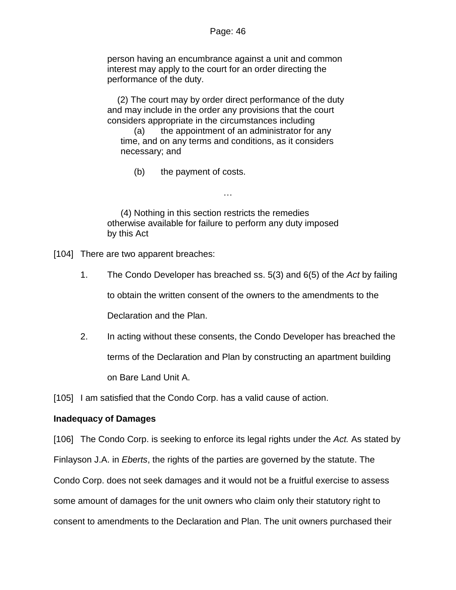person having an encumbrance against a unit and common interest may apply to the court for an order directing the performance of the duty.

(2) The court may by order direct performance of the duty and may include in the order any provisions that the court considers appropriate in the circumstances including

(a) the appointment of an administrator for any time, and on any terms and conditions, as it considers necessary; and

(b) the payment of costs.

(4) Nothing in this section restricts the remedies otherwise available for failure to perform any duty imposed by this Act

…

[104] There are two apparent breaches:

1. The Condo Developer has breached ss. 5(3) and 6(5) of the *Act* by failing

to obtain the written consent of the owners to the amendments to the

Declaration and the Plan.

2. In acting without these consents, the Condo Developer has breached the terms of the Declaration and Plan by constructing an apartment building on Bare Land Unit A.

[105] I am satisfied that the Condo Corp. has a valid cause of action.

#### **Inadequacy of Damages**

[106] The Condo Corp. is seeking to enforce its legal rights under the *Act.* As stated by Finlayson J.A. in *Eberts*, the rights of the parties are governed by the statute. The Condo Corp. does not seek damages and it would not be a fruitful exercise to assess some amount of damages for the unit owners who claim only their statutory right to consent to amendments to the Declaration and Plan. The unit owners purchased their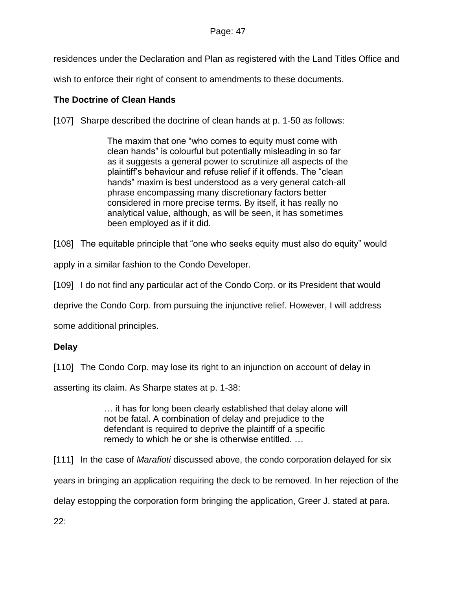residences under the Declaration and Plan as registered with the Land Titles Office and

wish to enforce their right of consent to amendments to these documents.

## **The Doctrine of Clean Hands**

[107] Sharpe described the doctrine of clean hands at p. 1-50 as follows:

The maxim that one "who comes to equity must come with clean hands" is colourful but potentially misleading in so far as it suggests a general power to scrutinize all aspects of the plaintiff's behaviour and refuse relief if it offends. The "clean hands" maxim is best understood as a very general catch-all phrase encompassing many discretionary factors better considered in more precise terms. By itself, it has really no analytical value, although, as will be seen, it has sometimes been employed as if it did.

[108] The equitable principle that "one who seeks equity must also do equity" would

apply in a similar fashion to the Condo Developer.

[109] I do not find any particular act of the Condo Corp. or its President that would

deprive the Condo Corp. from pursuing the injunctive relief. However, I will address

some additional principles.

## **Delay**

[110] The Condo Corp. may lose its right to an injunction on account of delay in

asserting its claim. As Sharpe states at p. 1-38:

… it has for long been clearly established that delay alone will not be fatal. A combination of delay and prejudice to the defendant is required to deprive the plaintiff of a specific remedy to which he or she is otherwise entitled. …

[111] In the case of *Marafioti* discussed above, the condo corporation delayed for six

years in bringing an application requiring the deck to be removed. In her rejection of the

delay estopping the corporation form bringing the application, Greer J. stated at para.

22: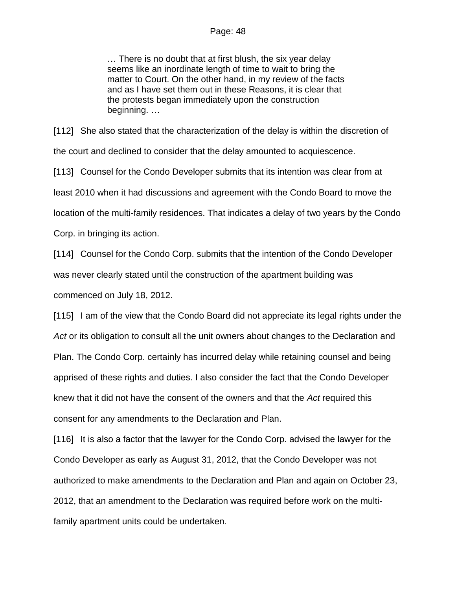#### Page: 48

… There is no doubt that at first blush, the six year delay seems like an inordinate length of time to wait to bring the matter to Court. On the other hand, in my review of the facts and as I have set them out in these Reasons, it is clear that the protests began immediately upon the construction beginning. …

[112] She also stated that the characterization of the delay is within the discretion of the court and declined to consider that the delay amounted to acquiescence.

[113] Counsel for the Condo Developer submits that its intention was clear from at least 2010 when it had discussions and agreement with the Condo Board to move the location of the multi-family residences. That indicates a delay of two years by the Condo Corp. in bringing its action.

[114] Counsel for the Condo Corp. submits that the intention of the Condo Developer was never clearly stated until the construction of the apartment building was commenced on July 18, 2012.

[115] I am of the view that the Condo Board did not appreciate its legal rights under the Act or its obligation to consult all the unit owners about changes to the Declaration and Plan. The Condo Corp. certainly has incurred delay while retaining counsel and being apprised of these rights and duties. I also consider the fact that the Condo Developer knew that it did not have the consent of the owners and that the *Act* required this consent for any amendments to the Declaration and Plan.

[116] It is also a factor that the lawyer for the Condo Corp. advised the lawyer for the Condo Developer as early as August 31, 2012, that the Condo Developer was not authorized to make amendments to the Declaration and Plan and again on October 23, 2012, that an amendment to the Declaration was required before work on the multifamily apartment units could be undertaken.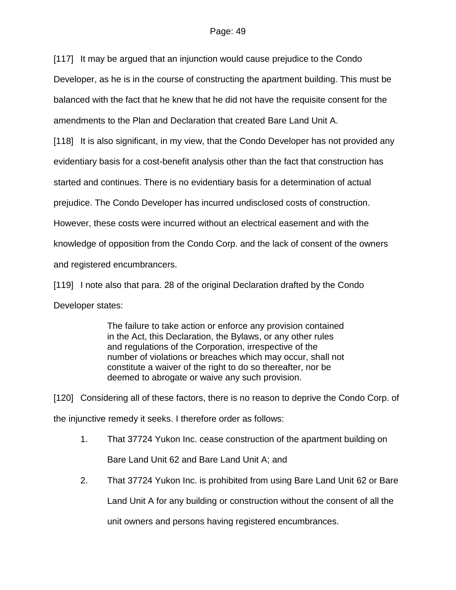[117] It may be argued that an injunction would cause prejudice to the Condo Developer, as he is in the course of constructing the apartment building. This must be balanced with the fact that he knew that he did not have the requisite consent for the amendments to the Plan and Declaration that created Bare Land Unit A.

[118] It is also significant, in my view, that the Condo Developer has not provided any evidentiary basis for a cost-benefit analysis other than the fact that construction has started and continues. There is no evidentiary basis for a determination of actual prejudice. The Condo Developer has incurred undisclosed costs of construction. However, these costs were incurred without an electrical easement and with the knowledge of opposition from the Condo Corp. and the lack of consent of the owners and registered encumbrancers.

[119] I note also that para. 28 of the original Declaration drafted by the Condo Developer states:

> The failure to take action or enforce any provision contained in the Act, this Declaration, the Bylaws, or any other rules and regulations of the Corporation, irrespective of the number of violations or breaches which may occur, shall not constitute a waiver of the right to do so thereafter, nor be deemed to abrogate or waive any such provision.

[120] Considering all of these factors, there is no reason to deprive the Condo Corp. of the injunctive remedy it seeks. I therefore order as follows:

- 1. That 37724 Yukon Inc. cease construction of the apartment building on Bare Land Unit 62 and Bare Land Unit A; and
- 2. That 37724 Yukon Inc. is prohibited from using Bare Land Unit 62 or Bare Land Unit A for any building or construction without the consent of all the

unit owners and persons having registered encumbrances.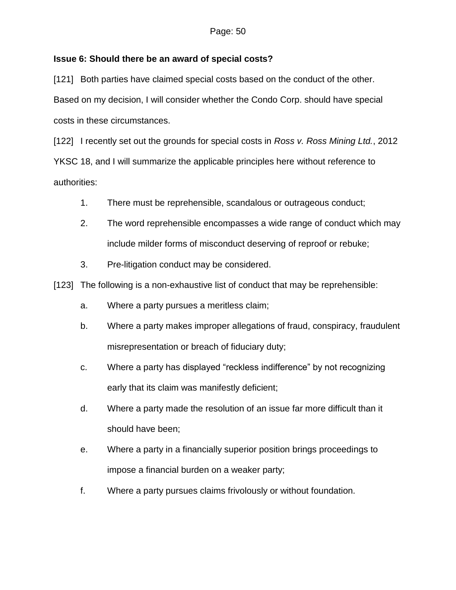## **Issue 6: Should there be an award of special costs?**

[121] Both parties have claimed special costs based on the conduct of the other. Based on my decision, I will consider whether the Condo Corp. should have special costs in these circumstances.

[122] I recently set out the grounds for special costs in *Ross v. Ross Mining Ltd.*, 2012 YKSC 18, and I will summarize the applicable principles here without reference to authorities:

- 1. There must be reprehensible, scandalous or outrageous conduct;
- 2. The word reprehensible encompasses a wide range of conduct which may include milder forms of misconduct deserving of reproof or rebuke;
- 3. Pre-litigation conduct may be considered.

[123] The following is a non-exhaustive list of conduct that may be reprehensible:

- a. Where a party pursues a meritless claim;
- b. Where a party makes improper allegations of fraud, conspiracy, fraudulent misrepresentation or breach of fiduciary duty;
- c. Where a party has displayed "reckless indifference" by not recognizing early that its claim was manifestly deficient;
- d. Where a party made the resolution of an issue far more difficult than it should have been;
- e. Where a party in a financially superior position brings proceedings to impose a financial burden on a weaker party;
- f. Where a party pursues claims frivolously or without foundation.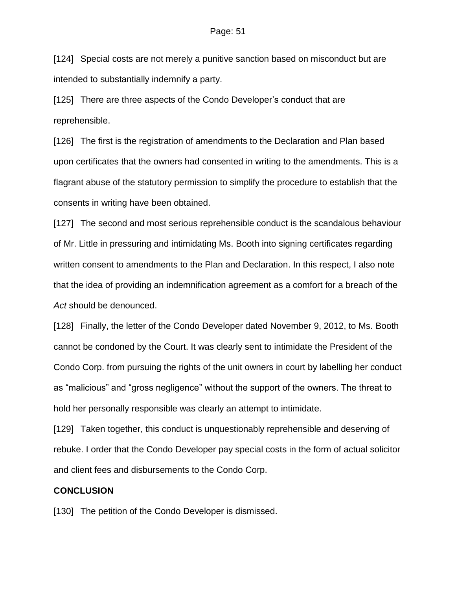[124] Special costs are not merely a punitive sanction based on misconduct but are intended to substantially indemnify a party.

[125] There are three aspects of the Condo Developer's conduct that are reprehensible.

[126] The first is the registration of amendments to the Declaration and Plan based upon certificates that the owners had consented in writing to the amendments. This is a flagrant abuse of the statutory permission to simplify the procedure to establish that the consents in writing have been obtained.

[127] The second and most serious reprehensible conduct is the scandalous behaviour of Mr. Little in pressuring and intimidating Ms. Booth into signing certificates regarding written consent to amendments to the Plan and Declaration. In this respect, I also note that the idea of providing an indemnification agreement as a comfort for a breach of the *Act* should be denounced.

[128] Finally, the letter of the Condo Developer dated November 9, 2012, to Ms. Booth cannot be condoned by the Court. It was clearly sent to intimidate the President of the Condo Corp. from pursuing the rights of the unit owners in court by labelling her conduct as "malicious" and "gross negligence" without the support of the owners. The threat to hold her personally responsible was clearly an attempt to intimidate.

[129] Taken together, this conduct is unquestionably reprehensible and deserving of rebuke. I order that the Condo Developer pay special costs in the form of actual solicitor and client fees and disbursements to the Condo Corp.

#### **CONCLUSION**

[130] The petition of the Condo Developer is dismissed.